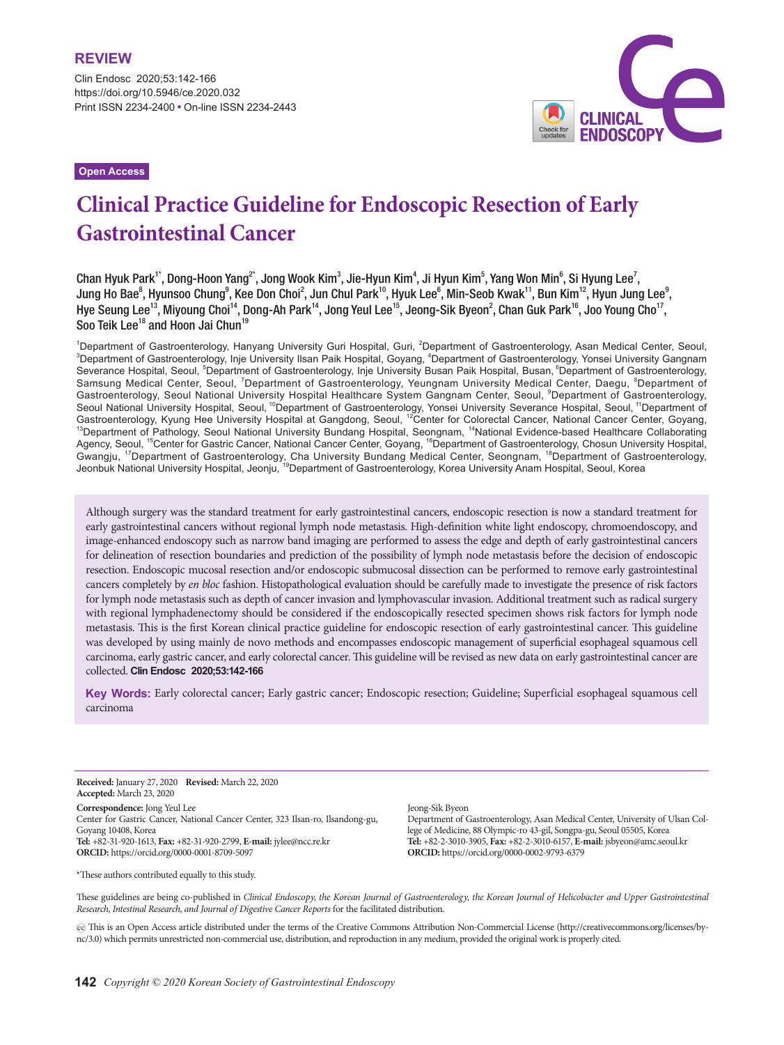Clin Endosc 2020;53:142-166 https://doi.org/10.5946/ce.2020.032 Print ISSN 2234-2400 • On-line ISSN 2234-2443 **CLINICAL**<br>ENDOSCOPY

**Open Access**

# **Clinical Practice Guideline for Endoscopic Resection of Early Gastrointestinal Cancer**

Chan Hyuk Park<sup>1\*</sup>, Dong-Hoon Yang<sup>2\*</sup>, Jong Wook Kim<sup>3</sup>, Jie-Hyun Kim<sup>4</sup>, Ji Hyun Kim<sup>5</sup>, Yang Won Min<sup>6</sup>, Si Hyung Lee<sup>7</sup>, Jung Ho Bae $^8$ , Hyunsoo Chung $^9$ , Kee Don Choi $^2$ , Jun Chul Park $^{10}$ , Hyuk Lee $^6$ , Min-Seob Kwak $^{11}$ , Bun Kim $^{12}$ , Hyun Jung Lee $^9$ , Hye Seung Lee<sup>13</sup>, Miyoung Choi<sup>14</sup>, Dong-Ah Park<sup>14</sup>, Jong Yeul Lee<sup>15</sup>, Jeong-Sik Byeon<sup>2</sup>, Chan Guk Park<sup>16</sup>, Joo Young Cho<sup>17</sup>, Soo Teik Lee<sup>18</sup> and Hoon Jai Chun<sup>19</sup>

<sup>1</sup>Department of Gastroenterology, Hanyang University Guri Hospital, Guri, <sup>2</sup>Department of Gastroenterology, Asan Medical Center, Seoul, 3<br><sup>3</sup>Department of Gastroenterology, Ipio University Ilsan Baik Hospital, Governa <sup>4</sup> Department of Gastroenterology, Inje University Ilsan Paik Hospital, Goyang, <sup>4</sup>Department of Gastroenterology, Yonsei University Gangnam Severance Hospital, Seoul, <sup>5</sup>Department of Gastroenterology, Inje University Busan Paik Hospital, Busan, <sup>6</sup>Department of Gastroenterology, Samsung Medical Center, Seoul, <sup>7</sup>Department of Gastroenterology, Yeungnam University Medical Center, Daegu, <sup>8</sup>Department of Gastroenterology, Seoul National University Hospital Healthcare System Gangnam Center, Seoul, <sup>9</sup>Department of Gastroenterology, Seoul National University Hospital, Seoul, <sup>10</sup>Department of Gastroenterology, Yonsei University Severance Hospital, Seoul, <sup>11</sup>Department of Gastroenterology, Kyung Hee University Hospital at Gangdong, Seoul, <sup>12</sup>Center for Colorectal Cancer, National Cancer Center, Goyang, 13Department of Pathology, Seoul National Mateus and 14 Center and 14 Center and 14 Cent Agency, Seoul, <sup>15</sup>Center for Gastric Cancer, National Cancer Center, Goyang, <sup>16</sup>Department of Gastroenterology, Chosun University Hospital, Gwangju, <sup>17</sup>Department of Gastroenterology, Cha University Bundang Medical Center, Seongnam, <sup>18</sup>Department of Gastroenterology, Jeonbuk National University Hospital, Jeonju, <sup>19</sup>Department of Gastroenterology, Korea University Anam Hospital, Seoul, Korea

Although surgery was the standard treatment for early gastrointestinal cancers, endoscopic resection is now a standard treatment for early gastrointestinal cancers without regional lymph node metastasis. High-definition white light endoscopy, chromoendoscopy, and image-enhanced endoscopy such as narrow band imaging are performed to assess the edge and depth of early gastrointestinal cancers for delineation of resection boundaries and prediction of the possibility of lymph node metastasis before the decision of endoscopic resection. Endoscopic mucosal resection and/or endoscopic submucosal dissection can be performed to remove early gastrointestinal cancers completely by *en bloc* fashion. Histopathological evaluation should be carefully made to investigate the presence of risk factors for lymph node metastasis such as depth of cancer invasion and lymphovascular invasion. Additional treatment such as radical surgery with regional lymphadenectomy should be considered if the endoscopically resected specimen shows risk factors for lymph node metastasis. This is the first Korean clinical practice guideline for endoscopic resection of early gastrointestinal cancer. This guideline was developed by using mainly de novo methods and encompasses endoscopic management of superficial esophageal squamous cell carcinoma, early gastric cancer, and early colorectal cancer. This guideline will be revised as new data on early gastrointestinal cancer are collected. **Clin Endosc 2020;53:142-166**

**Key Words:** Early colorectal cancer; Early gastric cancer; Endoscopic resection; Guideline; Superficial esophageal squamous cell carcinoma

**Received:** January 27, 2020 **Revised:** March 22, 2020 **Accepted:** March 23, 2020

**Correspondence:** Jong Yeul Lee Center for Gastric Cancer, National Cancer Center, 323 Ilsan-ro, Ilsandong-gu, Goyang 10408, Korea **Tel:** +82-31-920-1613, **Fax:** +82-31-920-2799, **E-mail:** jylee@ncc.re.kr **ORCID:** https://orcid.org/0000-0001-8709-5097

\*These authors contributed equally to this study.

Jeong-Sik Byeon

Department of Gastroenterology, Asan Medical Center, University of Ulsan College of Medicine, 88 Olympic-ro 43-gil, Songpa-gu, Seoul 05505, Korea **Tel:** +82-2-3010-3905, **Fax:** +82-2-3010-6157, **E-mail:** jsbyeon@amc.seoul.kr **ORCID:** https://orcid.org/0000-0002-9793-6379

These guidelines are being co-published in *Clinical Endoscopy, the Korean Journal of Gastroenterology, the Korean Journal of Helicobacter and Upper Gastrointestinal Research, Intestinal Research, and Journal of Digestive Cancer Reports* for the facilitated distribution.

cc This is an Open Access article distributed under the terms of the Creative Commons Attribution Non-Commercial License (http://creativecommons.org/licenses/bync/3.0) which permits unrestricted non-commercial use, distribution, and reproduction in any medium, provided the original work is properly cited.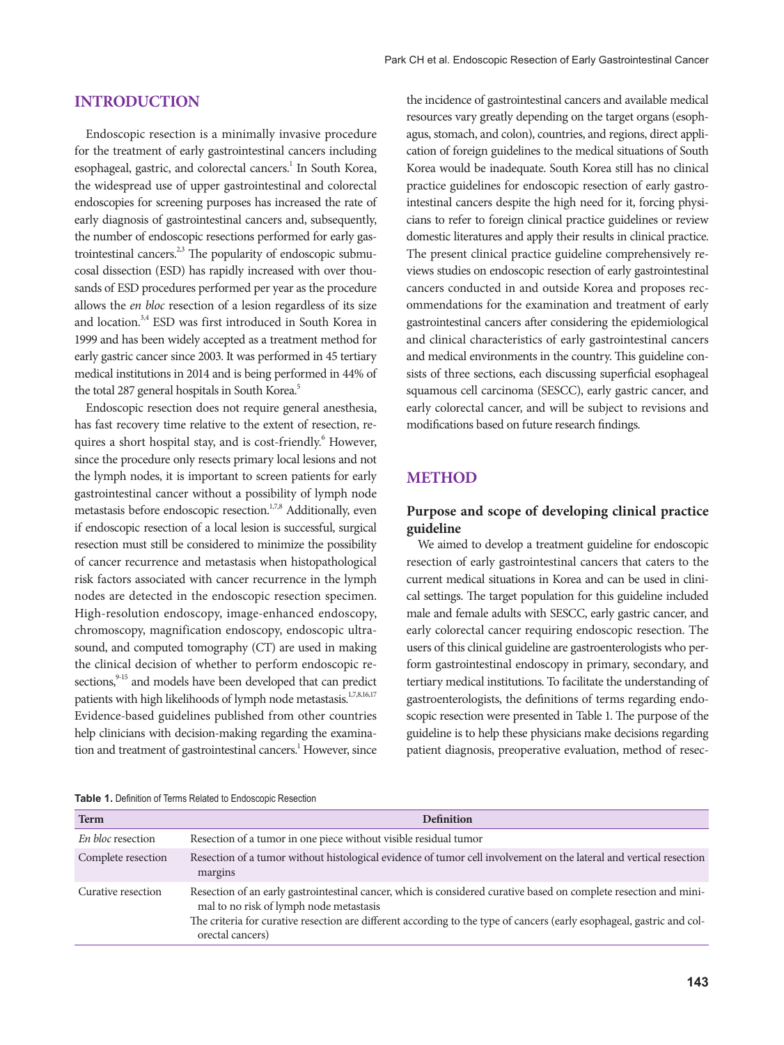#### **Introduction**

Endoscopic resection is a minimally invasive procedure for the treatment of early gastrointestinal cancers including esophageal, gastric, and colorectal cancers.<sup>1</sup> In South Korea, the widespread use of upper gastrointestinal and colorectal endoscopies for screening purposes has increased the rate of early diagnosis of gastrointestinal cancers and, subsequently, the number of endoscopic resections performed for early gastrointestinal cancers.<sup> $2,3$ </sup> The popularity of endoscopic submucosal dissection (ESD) has rapidly increased with over thousands of ESD procedures performed per year as the procedure allows the *en bloc* resection of a lesion regardless of its size and location.3,4 ESD was first introduced in South Korea in 1999 and has been widely accepted as a treatment method for early gastric cancer since 2003. It was performed in 45 tertiary medical institutions in 2014 and is being performed in 44% of the total 287 general hospitals in South Korea.<sup>5</sup>

Endoscopic resection does not require general anesthesia, has fast recovery time relative to the extent of resection, requires a short hospital stay, and is cost-friendly.<sup>6</sup> However, since the procedure only resects primary local lesions and not the lymph nodes, it is important to screen patients for early gastrointestinal cancer without a possibility of lymph node metastasis before endoscopic resection.<sup>1,7,8</sup> Additionally, even if endoscopic resection of a local lesion is successful, surgical resection must still be considered to minimize the possibility of cancer recurrence and metastasis when histopathological risk factors associated with cancer recurrence in the lymph nodes are detected in the endoscopic resection specimen. High-resolution endoscopy, image-enhanced endoscopy, chromoscopy, magnification endoscopy, endoscopic ultrasound, and computed tomography (CT) are used in making the clinical decision of whether to perform endoscopic resections,<sup>9-15</sup> and models have been developed that can predict patients with high likelihoods of lymph node metastasis.<sup>1,7,8,16,17</sup> Evidence-based guidelines published from other countries help clinicians with decision-making regarding the examination and treatment of gastrointestinal cancers.<sup>1</sup> However, since

the incidence of gastrointestinal cancers and available medical resources vary greatly depending on the target organs (esophagus, stomach, and colon), countries, and regions, direct application of foreign guidelines to the medical situations of South Korea would be inadequate. South Korea still has no clinical practice guidelines for endoscopic resection of early gastrointestinal cancers despite the high need for it, forcing physicians to refer to foreign clinical practice guidelines or review domestic literatures and apply their results in clinical practice. The present clinical practice guideline comprehensively reviews studies on endoscopic resection of early gastrointestinal cancers conducted in and outside Korea and proposes recommendations for the examination and treatment of early gastrointestinal cancers after considering the epidemiological and clinical characteristics of early gastrointestinal cancers and medical environments in the country. This guideline consists of three sections, each discussing superficial esophageal squamous cell carcinoma (SESCC), early gastric cancer, and early colorectal cancer, and will be subject to revisions and modifications based on future research findings.

#### **METHOD**

#### **Purpose and scope of developing clinical practice guideline**

We aimed to develop a treatment guideline for endoscopic resection of early gastrointestinal cancers that caters to the current medical situations in Korea and can be used in clinical settings. The target population for this guideline included male and female adults with SESCC, early gastric cancer, and early colorectal cancer requiring endoscopic resection. The users of this clinical guideline are gastroenterologists who perform gastrointestinal endoscopy in primary, secondary, and tertiary medical institutions. To facilitate the understanding of gastroenterologists, the definitions of terms regarding endoscopic resection were presented in Table 1. The purpose of the guideline is to help these physicians make decisions regarding patient diagnosis, preoperative evaluation, method of resec-

|  |  |  |  | Table 1. Definition of Terms Related to Endoscopic Resection |
|--|--|--|--|--------------------------------------------------------------|
|--|--|--|--|--------------------------------------------------------------|

| <b>Term</b>        | <b>Definition</b>                                                                                                                                                                                                                                                                                          |  |  |  |
|--------------------|------------------------------------------------------------------------------------------------------------------------------------------------------------------------------------------------------------------------------------------------------------------------------------------------------------|--|--|--|
| En bloc resection  | Resection of a tumor in one piece without visible residual tumor                                                                                                                                                                                                                                           |  |  |  |
| Complete resection | Resection of a tumor without histological evidence of tumor cell involvement on the lateral and vertical resection<br>margins                                                                                                                                                                              |  |  |  |
| Curative resection | Resection of an early gastrointestinal cancer, which is considered curative based on complete resection and mini-<br>mal to no risk of lymph node metastasis<br>The criteria for curative resection are different according to the type of cancers (early esophageal, gastric and col-<br>orectal cancers) |  |  |  |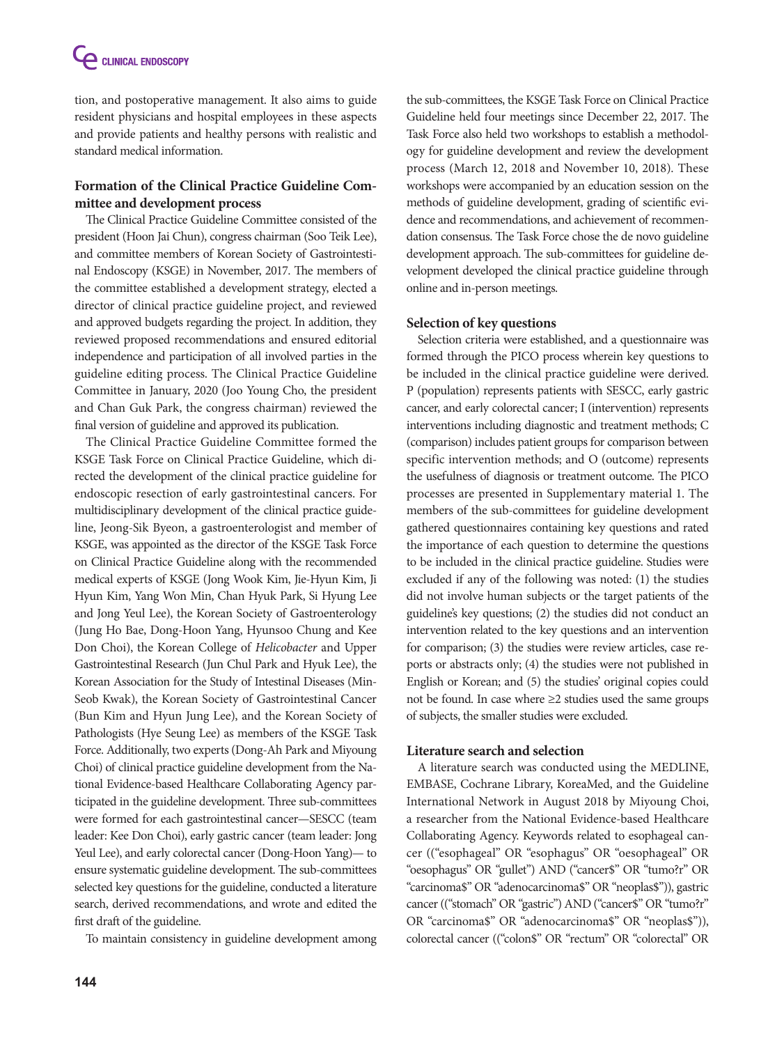tion, and postoperative management. It also aims to guide resident physicians and hospital employees in these aspects and provide patients and healthy persons with realistic and standard medical information.

# **Formation of the Clinical Practice Guideline Committee and development process**

The Clinical Practice Guideline Committee consisted of the president (Hoon Jai Chun), congress chairman (Soo Teik Lee), and committee members of Korean Society of Gastrointestinal Endoscopy (KSGE) in November, 2017. The members of the committee established a development strategy, elected a director of clinical practice guideline project, and reviewed and approved budgets regarding the project. In addition, they reviewed proposed recommendations and ensured editorial independence and participation of all involved parties in the guideline editing process. The Clinical Practice Guideline Committee in January, 2020 (Joo Young Cho, the president and Chan Guk Park, the congress chairman) reviewed the final version of guideline and approved its publication.

The Clinical Practice Guideline Committee formed the KSGE Task Force on Clinical Practice Guideline, which directed the development of the clinical practice guideline for endoscopic resection of early gastrointestinal cancers. For multidisciplinary development of the clinical practice guideline, Jeong-Sik Byeon, a gastroenterologist and member of KSGE, was appointed as the director of the KSGE Task Force on Clinical Practice Guideline along with the recommended medical experts of KSGE (Jong Wook Kim, Jie-Hyun Kim, Ji Hyun Kim, Yang Won Min, Chan Hyuk Park, Si Hyung Lee and Jong Yeul Lee), the Korean Society of Gastroenterology (Jung Ho Bae, Dong-Hoon Yang, Hyunsoo Chung and Kee Don Choi), the Korean College of *Helicobacter* and Upper Gastrointestinal Research (Jun Chul Park and Hyuk Lee), the Korean Association for the Study of Intestinal Diseases (Min-Seob Kwak), the Korean Society of Gastrointestinal Cancer (Bun Kim and Hyun Jung Lee), and the Korean Society of Pathologists (Hye Seung Lee) as members of the KSGE Task Force. Additionally, two experts (Dong-Ah Park and Miyoung Choi) of clinical practice guideline development from the National Evidence-based Healthcare Collaborating Agency participated in the guideline development. Three sub-committees were formed for each gastrointestinal cancer—SESCC (team leader: Kee Don Choi), early gastric cancer (team leader: Jong Yeul Lee), and early colorectal cancer (Dong-Hoon Yang)— to ensure systematic guideline development. The sub-committees selected key questions for the guideline, conducted a literature search, derived recommendations, and wrote and edited the first draft of the guideline.

To maintain consistency in guideline development among

the sub-committees, the KSGE Task Force on Clinical Practice Guideline held four meetings since December 22, 2017. The Task Force also held two workshops to establish a methodology for guideline development and review the development process (March 12, 2018 and November 10, 2018). These workshops were accompanied by an education session on the methods of guideline development, grading of scientific evidence and recommendations, and achievement of recommendation consensus. The Task Force chose the de novo guideline development approach. The sub-committees for guideline development developed the clinical practice guideline through online and in-person meetings.

#### **Selection of key questions**

Selection criteria were established, and a questionnaire was formed through the PICO process wherein key questions to be included in the clinical practice guideline were derived. P (population) represents patients with SESCC, early gastric cancer, and early colorectal cancer; I (intervention) represents interventions including diagnostic and treatment methods; C (comparison) includes patient groups for comparison between specific intervention methods; and O (outcome) represents the usefulness of diagnosis or treatment outcome. The PICO processes are presented in Supplementary material 1. The members of the sub-committees for guideline development gathered questionnaires containing key questions and rated the importance of each question to determine the questions to be included in the clinical practice guideline. Studies were excluded if any of the following was noted: (1) the studies did not involve human subjects or the target patients of the guideline's key questions; (2) the studies did not conduct an intervention related to the key questions and an intervention for comparison; (3) the studies were review articles, case reports or abstracts only; (4) the studies were not published in English or Korean; and (5) the studies' original copies could not be found. In case where ≥2 studies used the same groups of subjects, the smaller studies were excluded.

#### **Literature search and selection**

A literature search was conducted using the MEDLINE, EMBASE, Cochrane Library, KoreaMed, and the Guideline International Network in August 2018 by Miyoung Choi, a researcher from the National Evidence-based Healthcare Collaborating Agency. Keywords related to esophageal cancer (("esophageal" OR "esophagus" OR "oesophageal" OR "oesophagus" OR "gullet") AND ("cancer\$" OR "tumo?r" OR "carcinoma\$" OR "adenocarcinoma\$" OR "neoplas\$")), gastric cancer (("stomach" OR "gastric") AND ("cancer\$" OR "tumo?r" OR "carcinoma\$" OR "adenocarcinoma\$" OR "neoplas\$")), colorectal cancer (("colon\$" OR "rectum" OR "colorectal" OR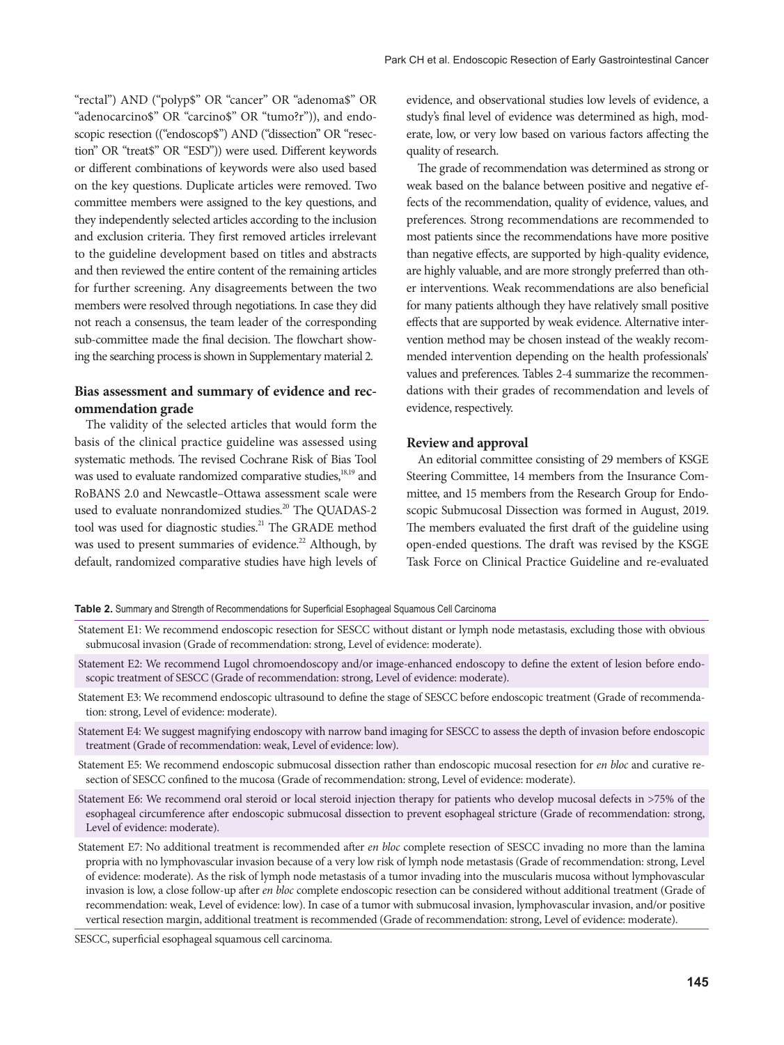"rectal") AND ("polyp\$" OR "cancer" OR "adenoma\$" OR "adenocarcino\$" OR "carcino\$" OR "tumo?r")), and endoscopic resection (("endoscop\$") AND ("dissection" OR "resection" OR "treat\$" OR "ESD")) were used. Different keywords or different combinations of keywords were also used based on the key questions. Duplicate articles were removed. Two committee members were assigned to the key questions, and they independently selected articles according to the inclusion and exclusion criteria. They first removed articles irrelevant to the guideline development based on titles and abstracts and then reviewed the entire content of the remaining articles for further screening. Any disagreements between the two members were resolved through negotiations. In case they did not reach a consensus, the team leader of the corresponding sub-committee made the final decision. The flowchart showing the searching process is shown in Supplementary material 2.

#### **Bias assessment and summary of evidence and recommendation grade**

The validity of the selected articles that would form the basis of the clinical practice guideline was assessed using systematic methods. The revised Cochrane Risk of Bias Tool was used to evaluate randomized comparative studies,<sup>18,19</sup> and RoBANS 2.0 and Newcastle–Ottawa assessment scale were used to evaluate nonrandomized studies.<sup>20</sup> The QUADAS-2 tool was used for diagnostic studies.<sup>21</sup> The GRADE method was used to present summaries of evidence.<sup>22</sup> Although, by default, randomized comparative studies have high levels of evidence, and observational studies low levels of evidence, a study's final level of evidence was determined as high, moderate, low, or very low based on various factors affecting the quality of research.

The grade of recommendation was determined as strong or weak based on the balance between positive and negative effects of the recommendation, quality of evidence, values, and preferences. Strong recommendations are recommended to most patients since the recommendations have more positive than negative effects, are supported by high-quality evidence, are highly valuable, and are more strongly preferred than other interventions. Weak recommendations are also beneficial for many patients although they have relatively small positive effects that are supported by weak evidence. Alternative intervention method may be chosen instead of the weakly recommended intervention depending on the health professionals' values and preferences. Tables 2-4 summarize the recommendations with their grades of recommendation and levels of evidence, respectively.

#### **Review and approval**

An editorial committee consisting of 29 members of KSGE Steering Committee, 14 members from the Insurance Committee, and 15 members from the Research Group for Endoscopic Submucosal Dissection was formed in August, 2019. The members evaluated the first draft of the guideline using open-ended questions. The draft was revised by the KSGE Task Force on Clinical Practice Guideline and re-evaluated

#### **Table 2.** Summary and Strength of Recommendations for Superficial Esophageal Squamous Cell Carcinoma

- Statement E1: We recommend endoscopic resection for SESCC without distant or lymph node metastasis, excluding those with obvious submucosal invasion (Grade of recommendation: strong, Level of evidence: moderate).
- Statement E2: We recommend Lugol chromoendoscopy and/or image-enhanced endoscopy to define the extent of lesion before endoscopic treatment of SESCC (Grade of recommendation: strong, Level of evidence: moderate).
- Statement E3: We recommend endoscopic ultrasound to define the stage of SESCC before endoscopic treatment (Grade of recommendation: strong, Level of evidence: moderate).
- Statement E4: We suggest magnifying endoscopy with narrow band imaging for SESCC to assess the depth of invasion before endoscopic treatment (Grade of recommendation: weak, Level of evidence: low).
- Statement E5: We recommend endoscopic submucosal dissection rather than endoscopic mucosal resection for *en bloc* and curative resection of SESCC confined to the mucosa (Grade of recommendation: strong, Level of evidence: moderate).
- Statement E6: We recommend oral steroid or local steroid injection therapy for patients who develop mucosal defects in >75% of the esophageal circumference after endoscopic submucosal dissection to prevent esophageal stricture (Grade of recommendation: strong, Level of evidence: moderate).
- Statement E7: No additional treatment is recommended after *en bloc* complete resection of SESCC invading no more than the lamina propria with no lymphovascular invasion because of a very low risk of lymph node metastasis (Grade of recommendation: strong, Level of evidence: moderate). As the risk of lymph node metastasis of a tumor invading into the muscularis mucosa without lymphovascular invasion is low, a close follow-up after *en bloc* complete endoscopic resection can be considered without additional treatment (Grade of recommendation: weak, Level of evidence: low). In case of a tumor with submucosal invasion, lymphovascular invasion, and/or positive vertical resection margin, additional treatment is recommended (Grade of recommendation: strong, Level of evidence: moderate).

SESCC, superficial esophageal squamous cell carcinoma.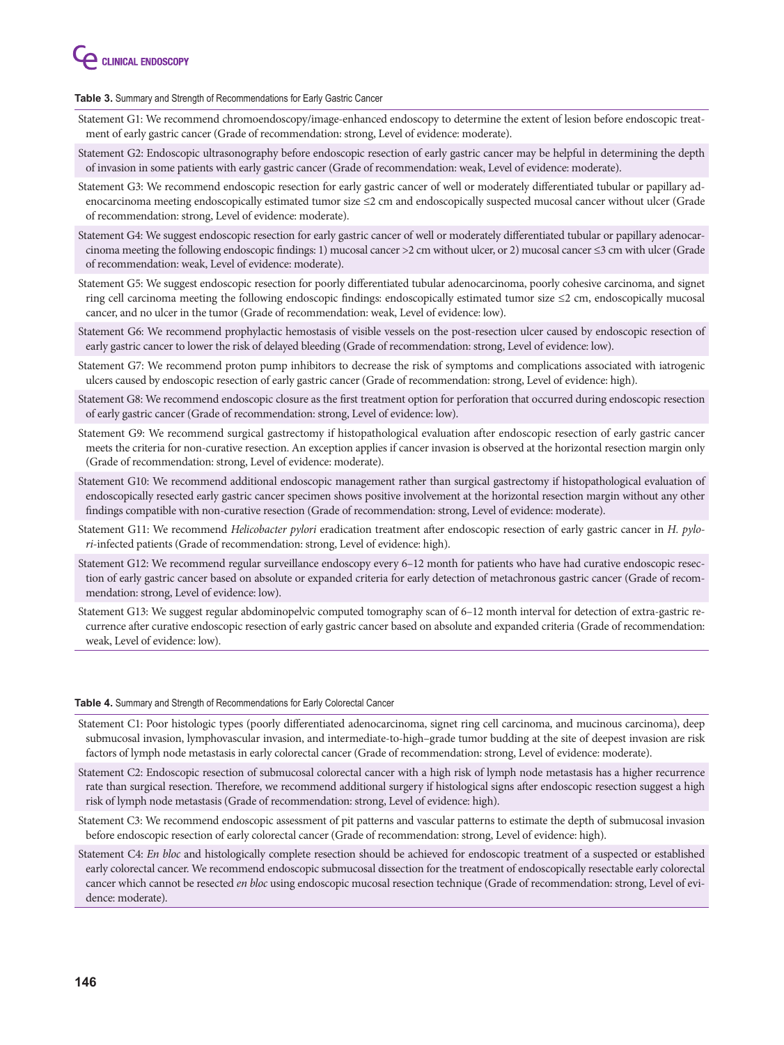

**Table 3.** Summary and Strength of Recommendations for Early Gastric Cancer

- Statement G1: We recommend chromoendoscopy/image-enhanced endoscopy to determine the extent of lesion before endoscopic treatment of early gastric cancer (Grade of recommendation: strong, Level of evidence: moderate).
- Statement G2: Endoscopic ultrasonography before endoscopic resection of early gastric cancer may be helpful in determining the depth of invasion in some patients with early gastric cancer (Grade of recommendation: weak, Level of evidence: moderate).
- Statement G3: We recommend endoscopic resection for early gastric cancer of well or moderately differentiated tubular or papillary adenocarcinoma meeting endoscopically estimated tumor size ≤2 cm and endoscopically suspected mucosal cancer without ulcer (Grade of recommendation: strong, Level of evidence: moderate).
- Statement G4: We suggest endoscopic resection for early gastric cancer of well or moderately differentiated tubular or papillary adenocarcinoma meeting the following endoscopic findings: 1) mucosal cancer >2 cm without ulcer, or 2) mucosal cancer ≤3 cm with ulcer (Grade of recommendation: weak, Level of evidence: moderate).
- Statement G5: We suggest endoscopic resection for poorly differentiated tubular adenocarcinoma, poorly cohesive carcinoma, and signet ring cell carcinoma meeting the following endoscopic findings: endoscopically estimated tumor size ≤2 cm, endoscopically mucosal cancer, and no ulcer in the tumor (Grade of recommendation: weak, Level of evidence: low).
- Statement G6: We recommend prophylactic hemostasis of visible vessels on the post-resection ulcer caused by endoscopic resection of early gastric cancer to lower the risk of delayed bleeding (Grade of recommendation: strong, Level of evidence: low).
- Statement G7: We recommend proton pump inhibitors to decrease the risk of symptoms and complications associated with iatrogenic ulcers caused by endoscopic resection of early gastric cancer (Grade of recommendation: strong, Level of evidence: high).
- Statement G8: We recommend endoscopic closure as the first treatment option for perforation that occurred during endoscopic resection of early gastric cancer (Grade of recommendation: strong, Level of evidence: low).
- Statement G9: We recommend surgical gastrectomy if histopathological evaluation after endoscopic resection of early gastric cancer meets the criteria for non-curative resection. An exception applies if cancer invasion is observed at the horizontal resection margin only (Grade of recommendation: strong, Level of evidence: moderate).
- Statement G10: We recommend additional endoscopic management rather than surgical gastrectomy if histopathological evaluation of endoscopically resected early gastric cancer specimen shows positive involvement at the horizontal resection margin without any other findings compatible with non-curative resection (Grade of recommendation: strong, Level of evidence: moderate).
- Statement G11: We recommend *Helicobacter pylori* eradication treatment after endoscopic resection of early gastric cancer in *H. pylori*-infected patients (Grade of recommendation: strong, Level of evidence: high).
- Statement G12: We recommend regular surveillance endoscopy every 6–12 month for patients who have had curative endoscopic resection of early gastric cancer based on absolute or expanded criteria for early detection of metachronous gastric cancer (Grade of recommendation: strong, Level of evidence: low).
- Statement G13: We suggest regular abdominopelvic computed tomography scan of 6–12 month interval for detection of extra-gastric recurrence after curative endoscopic resection of early gastric cancer based on absolute and expanded criteria (Grade of recommendation: weak, Level of evidence: low).

#### **Table 4.** Summary and Strength of Recommendations for Early Colorectal Cancer

- Statement C1: Poor histologic types (poorly differentiated adenocarcinoma, signet ring cell carcinoma, and mucinous carcinoma), deep submucosal invasion, lymphovascular invasion, and intermediate-to-high–grade tumor budding at the site of deepest invasion are risk factors of lymph node metastasis in early colorectal cancer (Grade of recommendation: strong, Level of evidence: moderate).
- Statement C2: Endoscopic resection of submucosal colorectal cancer with a high risk of lymph node metastasis has a higher recurrence rate than surgical resection. Therefore, we recommend additional surgery if histological signs after endoscopic resection suggest a high risk of lymph node metastasis (Grade of recommendation: strong, Level of evidence: high).
- Statement C3: We recommend endoscopic assessment of pit patterns and vascular patterns to estimate the depth of submucosal invasion before endoscopic resection of early colorectal cancer (Grade of recommendation: strong, Level of evidence: high).
- Statement C4: *En bloc* and histologically complete resection should be achieved for endoscopic treatment of a suspected or established early colorectal cancer. We recommend endoscopic submucosal dissection for the treatment of endoscopically resectable early colorectal cancer which cannot be resected *en bloc* using endoscopic mucosal resection technique (Grade of recommendation: strong, Level of evidence: moderate).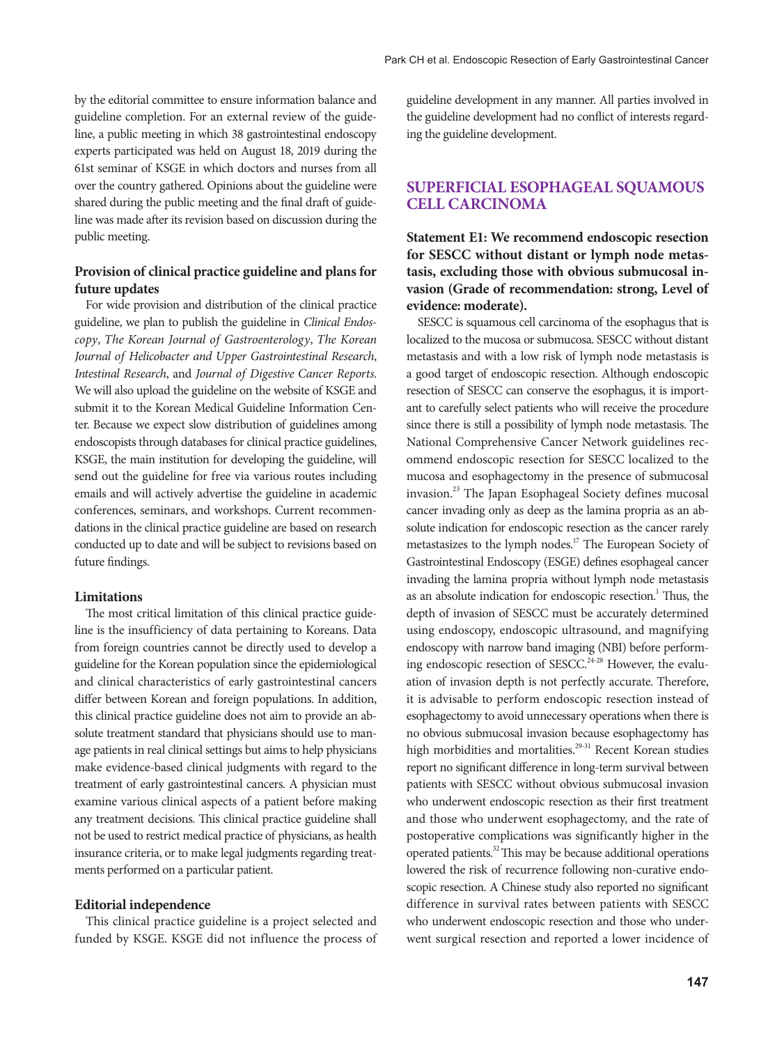by the editorial committee to ensure information balance and guideline completion. For an external review of the guideline, a public meeting in which 38 gastrointestinal endoscopy experts participated was held on August 18, 2019 during the 61st seminar of KSGE in which doctors and nurses from all over the country gathered. Opinions about the guideline were shared during the public meeting and the final draft of guideline was made after its revision based on discussion during the public meeting.

#### **Provision of clinical practice guideline and plans for future updates**

For wide provision and distribution of the clinical practice guideline, we plan to publish the guideline in *Clinical Endoscopy*, *The Korean Journal of Gastroenterology*, *The Korean Journal of Helicobacter and Upper Gastrointestinal Research*, *Intestinal Research*, and *Journal of Digestive Cancer Reports*. We will also upload the guideline on the website of KSGE and submit it to the Korean Medical Guideline Information Center. Because we expect slow distribution of guidelines among endoscopists through databases for clinical practice guidelines, KSGE, the main institution for developing the guideline, will send out the guideline for free via various routes including emails and will actively advertise the guideline in academic conferences, seminars, and workshops. Current recommendations in the clinical practice guideline are based on research conducted up to date and will be subject to revisions based on future findings.

#### **Limitations**

The most critical limitation of this clinical practice guideline is the insufficiency of data pertaining to Koreans. Data from foreign countries cannot be directly used to develop a guideline for the Korean population since the epidemiological and clinical characteristics of early gastrointestinal cancers differ between Korean and foreign populations. In addition, this clinical practice guideline does not aim to provide an absolute treatment standard that physicians should use to manage patients in real clinical settings but aims to help physicians make evidence-based clinical judgments with regard to the treatment of early gastrointestinal cancers. A physician must examine various clinical aspects of a patient before making any treatment decisions. This clinical practice guideline shall not be used to restrict medical practice of physicians, as health insurance criteria, or to make legal judgments regarding treatments performed on a particular patient.

#### **Editorial independence**

This clinical practice guideline is a project selected and funded by KSGE. KSGE did not influence the process of

guideline development in any manner. All parties involved in the guideline development had no conflict of interests regarding the guideline development.

## **Superficial Esophageal Squamous Cell Carcinoma**

**Statement E1: We recommend endoscopic resection for SESCC without distant or lymph node metastasis, excluding those with obvious submucosal invasion (Grade of recommendation: strong, Level of evidence: moderate).**

SESCC is squamous cell carcinoma of the esophagus that is localized to the mucosa or submucosa. SESCC without distant metastasis and with a low risk of lymph node metastasis is a good target of endoscopic resection. Although endoscopic resection of SESCC can conserve the esophagus, it is important to carefully select patients who will receive the procedure since there is still a possibility of lymph node metastasis. The National Comprehensive Cancer Network guidelines recommend endoscopic resection for SESCC localized to the mucosa and esophagectomy in the presence of submucosal invasion.23 The Japan Esophageal Society defines mucosal cancer invading only as deep as the lamina propria as an absolute indication for endoscopic resection as the cancer rarely metastasizes to the lymph nodes.<sup>17</sup> The European Society of Gastrointestinal Endoscopy (ESGE) defines esophageal cancer invading the lamina propria without lymph node metastasis as an absolute indication for endoscopic resection.<sup>1</sup> Thus, the depth of invasion of SESCC must be accurately determined using endoscopy, endoscopic ultrasound, and magnifying endoscopy with narrow band imaging (NBI) before performing endoscopic resection of SESCC.<sup>24-28</sup> However, the evaluation of invasion depth is not perfectly accurate. Therefore, it is advisable to perform endoscopic resection instead of esophagectomy to avoid unnecessary operations when there is no obvious submucosal invasion because esophagectomy has high morbidities and mortalities.<sup>29-31</sup> Recent Korean studies report no significant difference in long-term survival between patients with SESCC without obvious submucosal invasion who underwent endoscopic resection as their first treatment and those who underwent esophagectomy, and the rate of postoperative complications was significantly higher in the operated patients.<sup>32</sup> This may be because additional operations lowered the risk of recurrence following non-curative endoscopic resection. A Chinese study also reported no significant difference in survival rates between patients with SESCC who underwent endoscopic resection and those who underwent surgical resection and reported a lower incidence of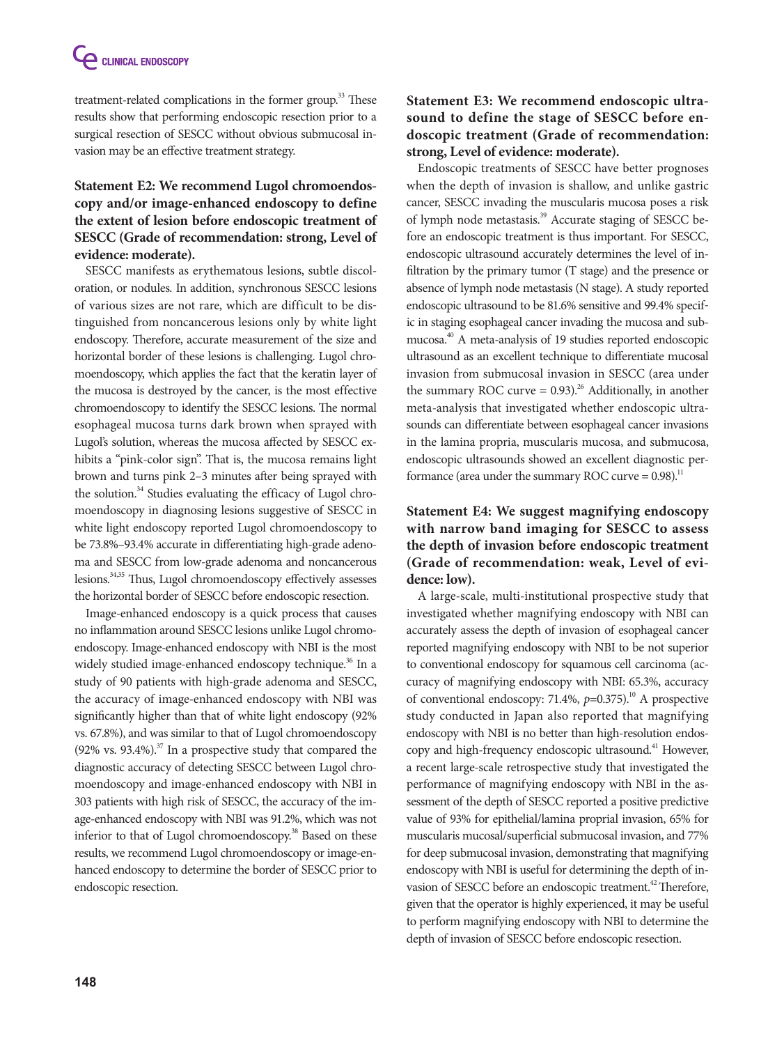treatment-related complications in the former group.<sup>33</sup> These results show that performing endoscopic resection prior to a surgical resection of SESCC without obvious submucosal invasion may be an effective treatment strategy.

# **Statement E2: We recommend Lugol chromoendoscopy and/or image-enhanced endoscopy to define the extent of lesion before endoscopic treatment of SESCC (Grade of recommendation: strong, Level of evidence: moderate).**

SESCC manifests as erythematous lesions, subtle discoloration, or nodules. In addition, synchronous SESCC lesions of various sizes are not rare, which are difficult to be distinguished from noncancerous lesions only by white light endoscopy. Therefore, accurate measurement of the size and horizontal border of these lesions is challenging. Lugol chromoendoscopy, which applies the fact that the keratin layer of the mucosa is destroyed by the cancer, is the most effective chromoendoscopy to identify the SESCC lesions. The normal esophageal mucosa turns dark brown when sprayed with Lugol's solution, whereas the mucosa affected by SESCC exhibits a "pink-color sign". That is, the mucosa remains light brown and turns pink 2–3 minutes after being sprayed with the solution.<sup>34</sup> Studies evaluating the efficacy of Lugol chromoendoscopy in diagnosing lesions suggestive of SESCC in white light endoscopy reported Lugol chromoendoscopy to be 73.8%–93.4% accurate in differentiating high-grade adenoma and SESCC from low-grade adenoma and noncancerous lesions.<sup>34,35</sup> Thus, Lugol chromoendoscopy effectively assesses the horizontal border of SESCC before endoscopic resection.

Image-enhanced endoscopy is a quick process that causes no inflammation around SESCC lesions unlike Lugol chromoendoscopy. Image-enhanced endoscopy with NBI is the most widely studied image-enhanced endoscopy technique.<sup>36</sup> In a study of 90 patients with high-grade adenoma and SESCC, the accuracy of image-enhanced endoscopy with NBI was significantly higher than that of white light endoscopy (92% vs. 67.8%), and was similar to that of Lugol chromoendoscopy  $(92\% \text{ vs. } 93.4\%).$ <sup>37</sup> In a prospective study that compared the diagnostic accuracy of detecting SESCC between Lugol chromoendoscopy and image-enhanced endoscopy with NBI in 303 patients with high risk of SESCC, the accuracy of the image-enhanced endoscopy with NBI was 91.2%, which was not inferior to that of Lugol chromoendoscopy.<sup>38</sup> Based on these results, we recommend Lugol chromoendoscopy or image-enhanced endoscopy to determine the border of SESCC prior to endoscopic resection.

# **Statement E3: We recommend endoscopic ultrasound to define the stage of SESCC before endoscopic treatment (Grade of recommendation: strong, Level of evidence: moderate).**

Endoscopic treatments of SESCC have better prognoses when the depth of invasion is shallow, and unlike gastric cancer, SESCC invading the muscularis mucosa poses a risk of lymph node metastasis.<sup>39</sup> Accurate staging of SESCC before an endoscopic treatment is thus important. For SESCC, endoscopic ultrasound accurately determines the level of infiltration by the primary tumor (T stage) and the presence or absence of lymph node metastasis (N stage). A study reported endoscopic ultrasound to be 81.6% sensitive and 99.4% specific in staging esophageal cancer invading the mucosa and submucosa.40 A meta-analysis of 19 studies reported endoscopic ultrasound as an excellent technique to differentiate mucosal invasion from submucosal invasion in SESCC (area under the summary ROC curve  $= 0.93$ .<sup>26</sup> Additionally, in another meta-analysis that investigated whether endoscopic ultrasounds can differentiate between esophageal cancer invasions in the lamina propria, muscularis mucosa, and submucosa, endoscopic ultrasounds showed an excellent diagnostic performance (area under the summary ROC curve  $= 0.98$ ).<sup>11</sup>

# **Statement E4: We suggest magnifying endoscopy with narrow band imaging for SESCC to assess the depth of invasion before endoscopic treatment (Grade of recommendation: weak, Level of evidence: low).**

A large-scale, multi-institutional prospective study that investigated whether magnifying endoscopy with NBI can accurately assess the depth of invasion of esophageal cancer reported magnifying endoscopy with NBI to be not superior to conventional endoscopy for squamous cell carcinoma (accuracy of magnifying endoscopy with NBI: 65.3%, accuracy of conventional endoscopy: 71.4%,  $p=0.375$ ).<sup>10</sup> A prospective study conducted in Japan also reported that magnifying endoscopy with NBI is no better than high-resolution endoscopy and high-frequency endoscopic ultrasound.<sup>41</sup> However, a recent large-scale retrospective study that investigated the performance of magnifying endoscopy with NBI in the assessment of the depth of SESCC reported a positive predictive value of 93% for epithelial/lamina proprial invasion, 65% for muscularis mucosal/superficial submucosal invasion, and 77% for deep submucosal invasion, demonstrating that magnifying endoscopy with NBI is useful for determining the depth of invasion of SESCC before an endoscopic treatment.<sup>42</sup> Therefore, given that the operator is highly experienced, it may be useful to perform magnifying endoscopy with NBI to determine the depth of invasion of SESCC before endoscopic resection.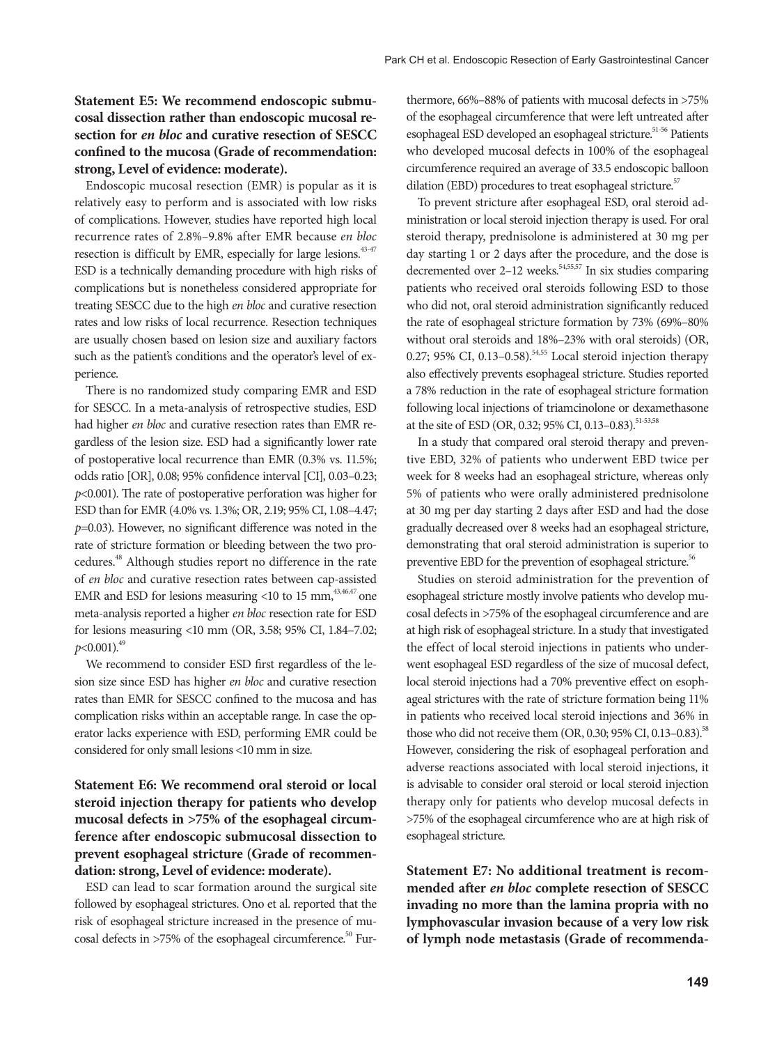### **Statement E5: We recommend endoscopic submucosal dissection rather than endoscopic mucosal resection for** *en bloc* **and curative resection of SESCC confined to the mucosa (Grade of recommendation: strong, Level of evidence: moderate).**

Endoscopic mucosal resection (EMR) is popular as it is relatively easy to perform and is associated with low risks of complications. However, studies have reported high local recurrence rates of 2.8%–9.8% after EMR because *en bloc* resection is difficult by EMR, especially for large lesions.<sup>43-47</sup> ESD is a technically demanding procedure with high risks of complications but is nonetheless considered appropriate for treating SESCC due to the high *en bloc* and curative resection rates and low risks of local recurrence. Resection techniques are usually chosen based on lesion size and auxiliary factors such as the patient's conditions and the operator's level of experience.

There is no randomized study comparing EMR and ESD for SESCC. In a meta-analysis of retrospective studies, ESD had higher *en bloc* and curative resection rates than EMR regardless of the lesion size. ESD had a significantly lower rate of postoperative local recurrence than EMR (0.3% vs. 11.5%; odds ratio [OR], 0.08; 95% confidence interval [CI], 0.03–0.23; *p*<0.001). The rate of postoperative perforation was higher for ESD than for EMR (4.0% vs. 1.3%; OR, 2.19; 95% CI, 1.08–4.47; *p*=0.03). However, no significant difference was noted in the rate of stricture formation or bleeding between the two procedures.48 Although studies report no difference in the rate of *en bloc* and curative resection rates between cap-assisted EMR and ESD for lesions measuring <10 to 15 mm,  $43,46,47$  one meta-analysis reported a higher *en bloc* resection rate for ESD for lesions measuring <10 mm (OR, 3.58; 95% CI, 1.84–7.02;  $p<0.001$ ).<sup>49</sup>

We recommend to consider ESD first regardless of the lesion size since ESD has higher *en bloc* and curative resection rates than EMR for SESCC confined to the mucosa and has complication risks within an acceptable range. In case the operator lacks experience with ESD, performing EMR could be considered for only small lesions <10 mm in size.

# **Statement E6: We recommend oral steroid or local steroid injection therapy for patients who develop mucosal defects in >75% of the esophageal circumference after endoscopic submucosal dissection to prevent esophageal stricture (Grade of recommendation: strong, Level of evidence: moderate).**

ESD can lead to scar formation around the surgical site followed by esophageal strictures. Ono et al. reported that the risk of esophageal stricture increased in the presence of mucosal defects in  $>75\%$  of the esophageal circumference.<sup>50</sup> Fur-

thermore, 66%–88% of patients with mucosal defects in >75% of the esophageal circumference that were left untreated after esophageal ESD developed an esophageal stricture.<sup>51-56</sup> Patients who developed mucosal defects in 100% of the esophageal circumference required an average of 33.5 endoscopic balloon dilation (EBD) procedures to treat esophageal stricture.<sup>57</sup>

To prevent stricture after esophageal ESD, oral steroid administration or local steroid injection therapy is used. For oral steroid therapy, prednisolone is administered at 30 mg per day starting 1 or 2 days after the procedure, and the dose is decremented over 2–12 weeks.<sup>54,55,57</sup> In six studies comparing patients who received oral steroids following ESD to those who did not, oral steroid administration significantly reduced the rate of esophageal stricture formation by 73% (69%–80% without oral steroids and 18%–23% with oral steroids) (OR, 0.27; 95% CI, 0.13-0.58).<sup>54,55</sup> Local steroid injection therapy also effectively prevents esophageal stricture. Studies reported a 78% reduction in the rate of esophageal stricture formation following local injections of triamcinolone or dexamethasone at the site of ESD (OR, 0.32; 95% CI, 0.13-0.83).<sup>51-53,58</sup>

In a study that compared oral steroid therapy and preventive EBD, 32% of patients who underwent EBD twice per week for 8 weeks had an esophageal stricture, whereas only 5% of patients who were orally administered prednisolone at 30 mg per day starting 2 days after ESD and had the dose gradually decreased over 8 weeks had an esophageal stricture, demonstrating that oral steroid administration is superior to preventive EBD for the prevention of esophageal stricture.<sup>56</sup>

Studies on steroid administration for the prevention of esophageal stricture mostly involve patients who develop mucosal defects in >75% of the esophageal circumference and are at high risk of esophageal stricture. In a study that investigated the effect of local steroid injections in patients who underwent esophageal ESD regardless of the size of mucosal defect, local steroid injections had a 70% preventive effect on esophageal strictures with the rate of stricture formation being 11% in patients who received local steroid injections and 36% in those who did not receive them (OR, 0.30; 95% CI, 0.13-0.83).<sup>58</sup> However, considering the risk of esophageal perforation and adverse reactions associated with local steroid injections, it is advisable to consider oral steroid or local steroid injection therapy only for patients who develop mucosal defects in >75% of the esophageal circumference who are at high risk of esophageal stricture.

**Statement E7: No additional treatment is recommended after** *en bloc* **complete resection of SESCC invading no more than the lamina propria with no lymphovascular invasion because of a very low risk of lymph node metastasis (Grade of recommenda-**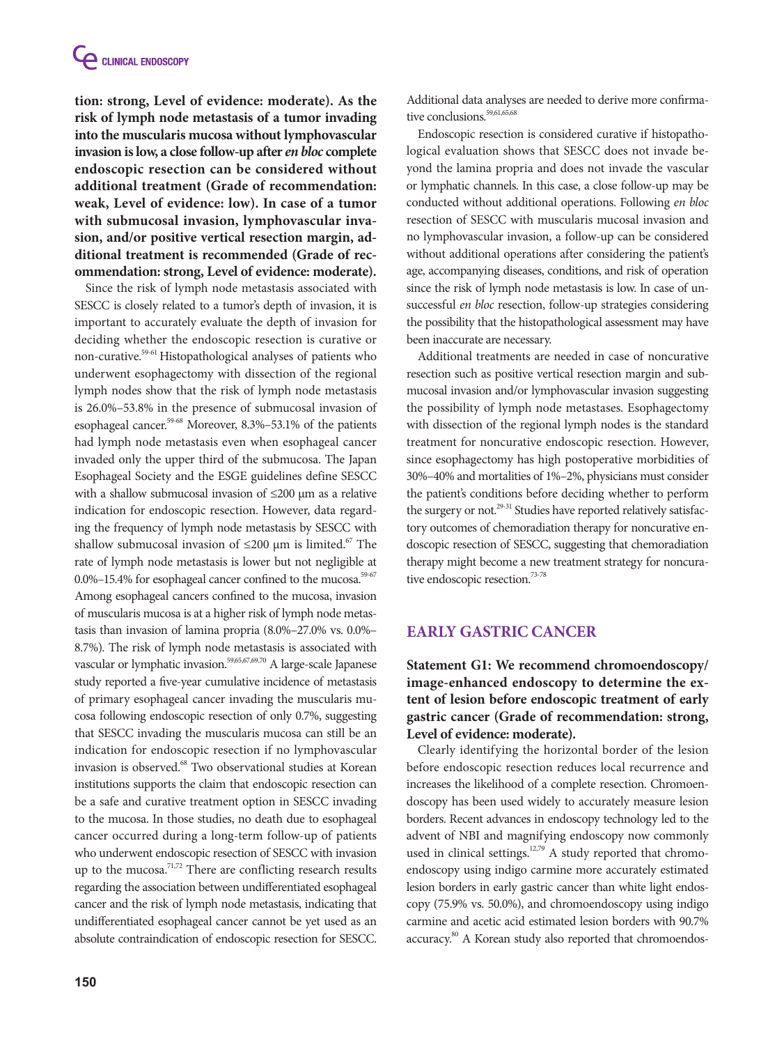**tion: strong, Level of evidence: moderate). As the risk of lymph node metastasis of a tumor invading into the muscularis mucosa without lymphovascular invasion is low, a close follow-up after** *en bloc* **complete endoscopic resection can be considered without additional treatment (Grade of recommendation: weak, Level of evidence: low). In case of a tumor with submucosal invasion, lymphovascular invasion, and/or positive vertical resection margin, additional treatment is recommended (Grade of recommendation: strong, Level of evidence: moderate).**

Since the risk of lymph node metastasis associated with SESCC is closely related to a tumor's depth of invasion, it is important to accurately evaluate the depth of invasion for deciding whether the endoscopic resection is curative or non-curative.59-61 Histopathological analyses of patients who underwent esophagectomy with dissection of the regional lymph nodes show that the risk of lymph node metastasis is 26.0%–53.8% in the presence of submucosal invasion of esophageal cancer.<sup>59-68</sup> Moreover, 8.3%–53.1% of the patients had lymph node metastasis even when esophageal cancer invaded only the upper third of the submucosa. The Japan Esophageal Society and the ESGE guidelines define SESCC with a shallow submucosal invasion of ≤200 μm as a relative indication for endoscopic resection. However, data regarding the frequency of lymph node metastasis by SESCC with shallow submucosal invasion of  $\leq$ 200 µm is limited.<sup>67</sup> The rate of lymph node metastasis is lower but not negligible at 0.0%-15.4% for esophageal cancer confined to the mucosa.<sup>59-67</sup> Among esophageal cancers confined to the mucosa, invasion of muscularis mucosa is at a higher risk of lymph node metastasis than invasion of lamina propria (8.0%–27.0% vs. 0.0%– 8.7%). The risk of lymph node metastasis is associated with vascular or lymphatic invasion.59,65,67,69,70 A large-scale Japanese study reported a five-year cumulative incidence of metastasis of primary esophageal cancer invading the muscularis mucosa following endoscopic resection of only 0.7%, suggesting that SESCC invading the muscularis mucosa can still be an indication for endoscopic resection if no lymphovascular invasion is observed.<sup>68</sup> Two observational studies at Korean institutions supports the claim that endoscopic resection can be a safe and curative treatment option in SESCC invading to the mucosa. In those studies, no death due to esophageal cancer occurred during a long-term follow-up of patients who underwent endoscopic resection of SESCC with invasion up to the mucosa.<sup> $71,72$ </sup> There are conflicting research results regarding the association between undifferentiated esophageal cancer and the risk of lymph node metastasis, indicating that undifferentiated esophageal cancer cannot be yet used as an absolute contraindication of endoscopic resection for SESCC.

Additional data analyses are needed to derive more confirmative conclusions.<sup>59,61,65,68</sup>

Endoscopic resection is considered curative if histopathological evaluation shows that SESCC does not invade beyond the lamina propria and does not invade the vascular or lymphatic channels. In this case, a close follow-up may be conducted without additional operations. Following *en bloc* resection of SESCC with muscularis mucosal invasion and no lymphovascular invasion, a follow-up can be considered without additional operations after considering the patient's age, accompanying diseases, conditions, and risk of operation since the risk of lymph node metastasis is low. In case of unsuccessful *en bloc* resection, follow-up strategies considering the possibility that the histopathological assessment may have been inaccurate are necessary.

Additional treatments are needed in case of noncurative resection such as positive vertical resection margin and submucosal invasion and/or lymphovascular invasion suggesting the possibility of lymph node metastases. Esophagectomy with dissection of the regional lymph nodes is the standard treatment for noncurative endoscopic resection. However, since esophagectomy has high postoperative morbidities of 30%–40% and mortalities of 1%–2%, physicians must consider the patient's conditions before deciding whether to perform the surgery or not.<sup>29-31</sup> Studies have reported relatively satisfactory outcomes of chemoradiation therapy for noncurative endoscopic resection of SESCC, suggesting that chemoradiation therapy might become a new treatment strategy for noncurative endoscopic resection.<sup>73-78</sup>

## **Early Gastric Cancer**

**Statement G1: We recommend chromoendoscopy/ image-enhanced endoscopy to determine the extent of lesion before endoscopic treatment of early gastric cancer (Grade of recommendation: strong, Level of evidence: moderate).**

Clearly identifying the horizontal border of the lesion before endoscopic resection reduces local recurrence and increases the likelihood of a complete resection. Chromoendoscopy has been used widely to accurately measure lesion borders. Recent advances in endoscopy technology led to the advent of NBI and magnifying endoscopy now commonly used in clinical settings.<sup>12,79</sup> A study reported that chromoendoscopy using indigo carmine more accurately estimated lesion borders in early gastric cancer than white light endoscopy (75.9% vs. 50.0%), and chromoendoscopy using indigo carmine and acetic acid estimated lesion borders with 90.7% accuracy.<sup>80</sup> A Korean study also reported that chromoendos-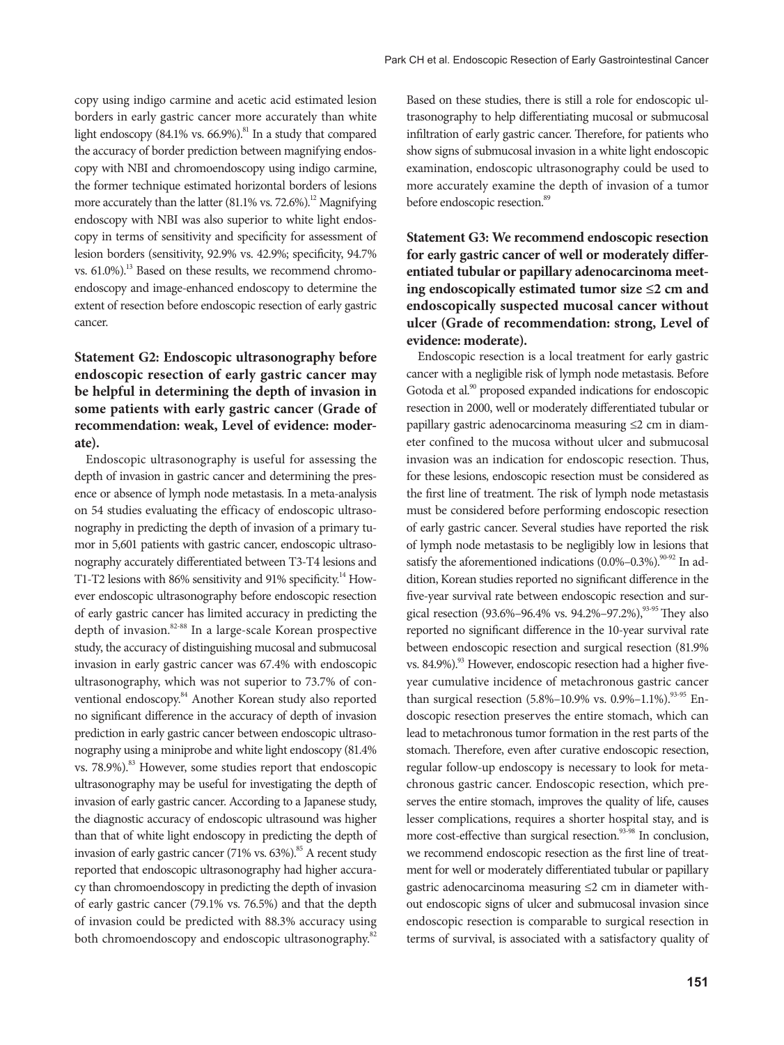copy using indigo carmine and acetic acid estimated lesion borders in early gastric cancer more accurately than white light endoscopy  $(84.1\% \text{ vs. } 66.9\%)$ .<sup>81</sup> In a study that compared the accuracy of border prediction between magnifying endoscopy with NBI and chromoendoscopy using indigo carmine, the former technique estimated horizontal borders of lesions more accurately than the latter  $(81.1\% \text{ vs. } 72.6\%)$ <sup>12</sup> Magnifying endoscopy with NBI was also superior to white light endoscopy in terms of sensitivity and specificity for assessment of lesion borders (sensitivity, 92.9% vs. 42.9%; specificity, 94.7% vs.  $61.0\%$ ).<sup>13</sup> Based on these results, we recommend chromoendoscopy and image-enhanced endoscopy to determine the extent of resection before endoscopic resection of early gastric cancer.

# **Statement G2: Endoscopic ultrasonography before endoscopic resection of early gastric cancer may be helpful in determining the depth of invasion in some patients with early gastric cancer (Grade of recommendation: weak, Level of evidence: moderate).**

Endoscopic ultrasonography is useful for assessing the depth of invasion in gastric cancer and determining the presence or absence of lymph node metastasis. In a meta-analysis on 54 studies evaluating the efficacy of endoscopic ultrasonography in predicting the depth of invasion of a primary tumor in 5,601 patients with gastric cancer, endoscopic ultrasonography accurately differentiated between T3-T4 lesions and T1-T2 lesions with 86% sensitivity and 91% specificity.<sup>14</sup> However endoscopic ultrasonography before endoscopic resection of early gastric cancer has limited accuracy in predicting the depth of invasion.<sup>82-88</sup> In a large-scale Korean prospective study, the accuracy of distinguishing mucosal and submucosal invasion in early gastric cancer was 67.4% with endoscopic ultrasonography, which was not superior to 73.7% of conventional endoscopy.<sup>84</sup> Another Korean study also reported no significant difference in the accuracy of depth of invasion prediction in early gastric cancer between endoscopic ultrasonography using a miniprobe and white light endoscopy (81.4% vs. 78.9%).<sup>83</sup> However, some studies report that endoscopic ultrasonography may be useful for investigating the depth of invasion of early gastric cancer. According to a Japanese study, the diagnostic accuracy of endoscopic ultrasound was higher than that of white light endoscopy in predicting the depth of invasion of early gastric cancer (71% vs. 63%).<sup>85</sup> A recent study reported that endoscopic ultrasonography had higher accuracy than chromoendoscopy in predicting the depth of invasion of early gastric cancer (79.1% vs. 76.5%) and that the depth of invasion could be predicted with 88.3% accuracy using both chromoendoscopy and endoscopic ultrasonography.<sup>82</sup>

Based on these studies, there is still a role for endoscopic ultrasonography to help differentiating mucosal or submucosal infiltration of early gastric cancer. Therefore, for patients who show signs of submucosal invasion in a white light endoscopic examination, endoscopic ultrasonography could be used to more accurately examine the depth of invasion of a tumor before endoscopic resection.<sup>89</sup>

**Statement G3: We recommend endoscopic resection for early gastric cancer of well or moderately differentiated tubular or papillary adenocarcinoma meeting endoscopically estimated tumor size ≤2 cm and endoscopically suspected mucosal cancer without ulcer (Grade of recommendation: strong, Level of evidence: moderate).**

Endoscopic resection is a local treatment for early gastric cancer with a negligible risk of lymph node metastasis. Before Gotoda et al.<sup>90</sup> proposed expanded indications for endoscopic resection in 2000, well or moderately differentiated tubular or papillary gastric adenocarcinoma measuring ≤2 cm in diameter confined to the mucosa without ulcer and submucosal invasion was an indication for endoscopic resection. Thus, for these lesions, endoscopic resection must be considered as the first line of treatment. The risk of lymph node metastasis must be considered before performing endoscopic resection of early gastric cancer. Several studies have reported the risk of lymph node metastasis to be negligibly low in lesions that satisfy the aforementioned indications  $(0.0\% - 0.3\%)$ .<sup>90-92</sup> In addition, Korean studies reported no significant difference in the five-year survival rate between endoscopic resection and surgical resection (93.6%–96.4% vs. 94.2%–97.2%),<sup>93.95</sup> They also reported no significant difference in the 10-year survival rate between endoscopic resection and surgical resection (81.9% vs. 84.9%).<sup>93</sup> However, endoscopic resection had a higher fiveyear cumulative incidence of metachronous gastric cancer than surgical resection (5.8%–10.9% vs. 0.9%–1.1%).<sup>93-95</sup> Endoscopic resection preserves the entire stomach, which can lead to metachronous tumor formation in the rest parts of the stomach. Therefore, even after curative endoscopic resection, regular follow-up endoscopy is necessary to look for metachronous gastric cancer. Endoscopic resection, which preserves the entire stomach, improves the quality of life, causes lesser complications, requires a shorter hospital stay, and is more cost-effective than surgical resection.<sup>93-98</sup> In conclusion, we recommend endoscopic resection as the first line of treatment for well or moderately differentiated tubular or papillary gastric adenocarcinoma measuring ≤2 cm in diameter without endoscopic signs of ulcer and submucosal invasion since endoscopic resection is comparable to surgical resection in terms of survival, is associated with a satisfactory quality of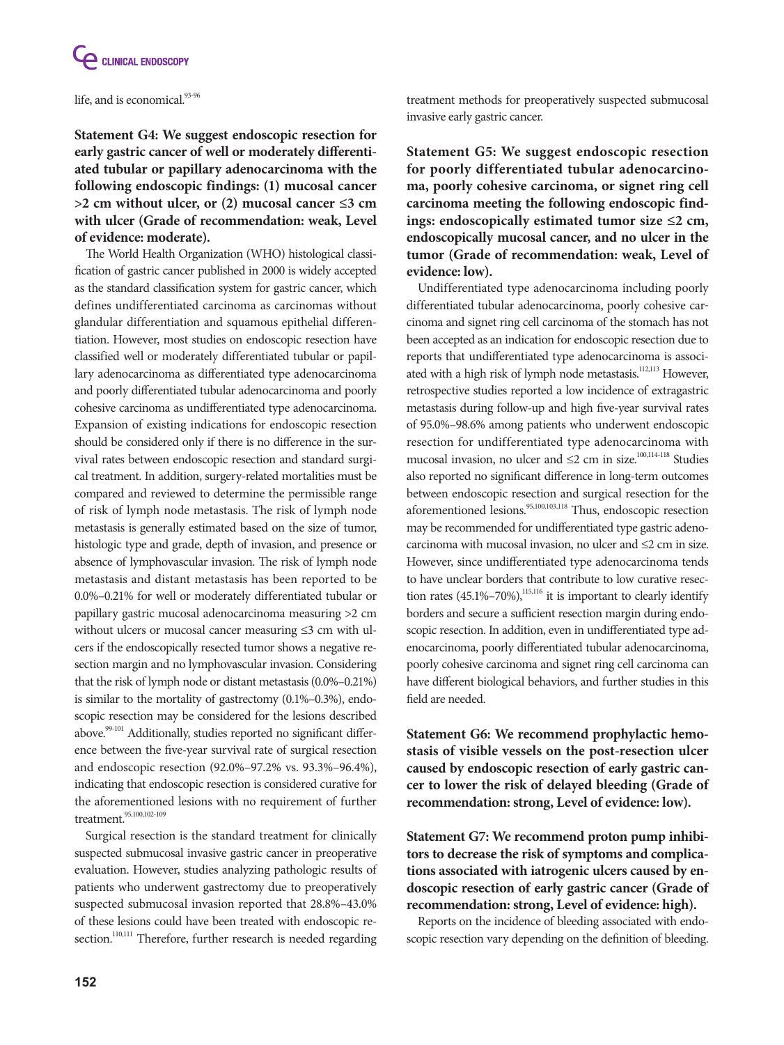

life, and is economical.<sup>93-96</sup>

**Statement G4: We suggest endoscopic resection for early gastric cancer of well or moderately differentiated tubular or papillary adenocarcinoma with the following endoscopic findings: (1) mucosal cancer >2 cm without ulcer, or (2) mucosal cancer ≤3 cm with ulcer (Grade of recommendation: weak, Level of evidence: moderate).**

The World Health Organization (WHO) histological classification of gastric cancer published in 2000 is widely accepted as the standard classification system for gastric cancer, which defines undifferentiated carcinoma as carcinomas without glandular differentiation and squamous epithelial differentiation. However, most studies on endoscopic resection have classified well or moderately differentiated tubular or papillary adenocarcinoma as differentiated type adenocarcinoma and poorly differentiated tubular adenocarcinoma and poorly cohesive carcinoma as undifferentiated type adenocarcinoma. Expansion of existing indications for endoscopic resection should be considered only if there is no difference in the survival rates between endoscopic resection and standard surgical treatment. In addition, surgery-related mortalities must be compared and reviewed to determine the permissible range of risk of lymph node metastasis. The risk of lymph node metastasis is generally estimated based on the size of tumor, histologic type and grade, depth of invasion, and presence or absence of lymphovascular invasion. The risk of lymph node metastasis and distant metastasis has been reported to be 0.0%–0.21% for well or moderately differentiated tubular or papillary gastric mucosal adenocarcinoma measuring >2 cm without ulcers or mucosal cancer measuring ≤3 cm with ulcers if the endoscopically resected tumor shows a negative resection margin and no lymphovascular invasion. Considering that the risk of lymph node or distant metastasis (0.0%–0.21%) is similar to the mortality of gastrectomy (0.1%–0.3%), endoscopic resection may be considered for the lesions described above.<sup>99-101</sup> Additionally, studies reported no significant difference between the five-year survival rate of surgical resection and endoscopic resection (92.0%–97.2% vs. 93.3%–96.4%), indicating that endoscopic resection is considered curative for the aforementioned lesions with no requirement of further treatment.<sup>95,100,102-109</sup>

Surgical resection is the standard treatment for clinically suspected submucosal invasive gastric cancer in preoperative evaluation. However, studies analyzing pathologic results of patients who underwent gastrectomy due to preoperatively suspected submucosal invasion reported that 28.8%–43.0% of these lesions could have been treated with endoscopic resection.<sup>110,111</sup> Therefore, further research is needed regarding treatment methods for preoperatively suspected submucosal invasive early gastric cancer.

**Statement G5: We suggest endoscopic resection for poorly differentiated tubular adenocarcinoma, poorly cohesive carcinoma, or signet ring cell carcinoma meeting the following endoscopic findings: endoscopically estimated tumor size ≤2 cm, endoscopically mucosal cancer, and no ulcer in the tumor (Grade of recommendation: weak, Level of evidence: low).**

Undifferentiated type adenocarcinoma including poorly differentiated tubular adenocarcinoma, poorly cohesive carcinoma and signet ring cell carcinoma of the stomach has not been accepted as an indication for endoscopic resection due to reports that undifferentiated type adenocarcinoma is associated with a high risk of lymph node metastasis.<sup>112,113</sup> However, retrospective studies reported a low incidence of extragastric metastasis during follow-up and high five-year survival rates of 95.0%–98.6% among patients who underwent endoscopic resection for undifferentiated type adenocarcinoma with mucosal invasion, no ulcer and  $\leq$  2 cm in size.<sup>100,114-118</sup> Studies also reported no significant difference in long-term outcomes between endoscopic resection and surgical resection for the aforementioned lesions.<sup>95,100,103,118</sup> Thus, endoscopic resection may be recommended for undifferentiated type gastric adenocarcinoma with mucosal invasion, no ulcer and ≤2 cm in size. However, since undifferentiated type adenocarcinoma tends to have unclear borders that contribute to low curative resection rates  $(45.1\% - 70\%)$ ,<sup>115,116</sup> it is important to clearly identify borders and secure a sufficient resection margin during endoscopic resection. In addition, even in undifferentiated type adenocarcinoma, poorly differentiated tubular adenocarcinoma, poorly cohesive carcinoma and signet ring cell carcinoma can have different biological behaviors, and further studies in this field are needed.

**Statement G6: We recommend prophylactic hemostasis of visible vessels on the post-resection ulcer caused by endoscopic resection of early gastric cancer to lower the risk of delayed bleeding (Grade of recommendation: strong, Level of evidence: low).**

**Statement G7: We recommend proton pump inhibitors to decrease the risk of symptoms and complications associated with iatrogenic ulcers caused by endoscopic resection of early gastric cancer (Grade of recommendation: strong, Level of evidence: high).**

Reports on the incidence of bleeding associated with endoscopic resection vary depending on the definition of bleeding.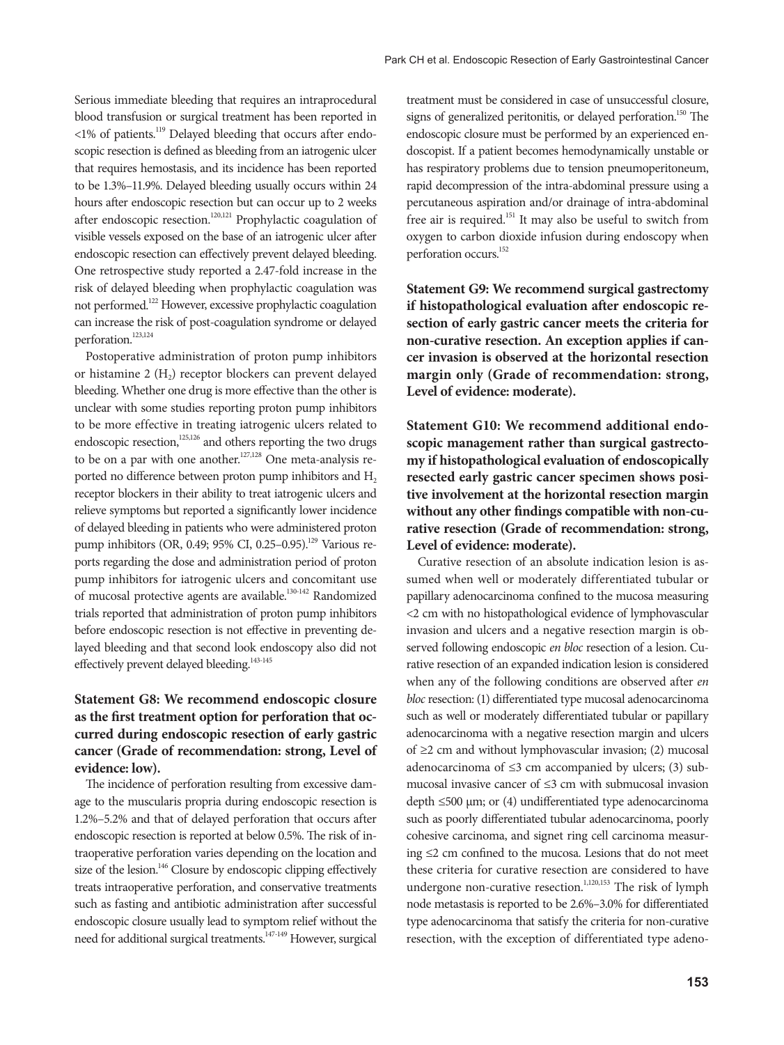Serious immediate bleeding that requires an intraprocedural blood transfusion or surgical treatment has been reported in <1% of patients.119 Delayed bleeding that occurs after endoscopic resection is defined as bleeding from an iatrogenic ulcer that requires hemostasis, and its incidence has been reported to be 1.3%–11.9%. Delayed bleeding usually occurs within 24 hours after endoscopic resection but can occur up to 2 weeks after endoscopic resection.<sup>120,121</sup> Prophylactic coagulation of visible vessels exposed on the base of an iatrogenic ulcer after endoscopic resection can effectively prevent delayed bleeding. One retrospective study reported a 2.47-fold increase in the risk of delayed bleeding when prophylactic coagulation was not performed.122 However, excessive prophylactic coagulation can increase the risk of post-coagulation syndrome or delayed perforation.<sup>123,124</sup>

Postoperative administration of proton pump inhibitors or histamine 2 (H<sub>2</sub>) receptor blockers can prevent delayed bleeding. Whether one drug is more effective than the other is unclear with some studies reporting proton pump inhibitors to be more effective in treating iatrogenic ulcers related to endoscopic resection,<sup>125,126</sup> and others reporting the two drugs to be on a par with one another. $127,128$  One meta-analysis reported no difference between proton pump inhibitors and H<sub>2</sub> receptor blockers in their ability to treat iatrogenic ulcers and relieve symptoms but reported a significantly lower incidence of delayed bleeding in patients who were administered proton pump inhibitors (OR, 0.49; 95% CI, 0.25–0.95).<sup>129</sup> Various reports regarding the dose and administration period of proton pump inhibitors for iatrogenic ulcers and concomitant use of mucosal protective agents are available.<sup>130-142</sup> Randomized trials reported that administration of proton pump inhibitors before endoscopic resection is not effective in preventing delayed bleeding and that second look endoscopy also did not effectively prevent delayed bleeding.<sup>143-145</sup>

## **Statement G8: We recommend endoscopic closure as the first treatment option for perforation that occurred during endoscopic resection of early gastric cancer (Grade of recommendation: strong, Level of evidence: low).**

The incidence of perforation resulting from excessive damage to the muscularis propria during endoscopic resection is 1.2%–5.2% and that of delayed perforation that occurs after endoscopic resection is reported at below 0.5%. The risk of intraoperative perforation varies depending on the location and size of the lesion.<sup>146</sup> Closure by endoscopic clipping effectively treats intraoperative perforation, and conservative treatments such as fasting and antibiotic administration after successful endoscopic closure usually lead to symptom relief without the need for additional surgical treatments.147-149 However, surgical

treatment must be considered in case of unsuccessful closure, signs of generalized peritonitis, or delayed perforation.<sup>150</sup> The endoscopic closure must be performed by an experienced endoscopist. If a patient becomes hemodynamically unstable or has respiratory problems due to tension pneumoperitoneum, rapid decompression of the intra-abdominal pressure using a percutaneous aspiration and/or drainage of intra-abdominal free air is required.<sup>151</sup> It may also be useful to switch from oxygen to carbon dioxide infusion during endoscopy when perforation occurs.<sup>152</sup>

**Statement G9: We recommend surgical gastrectomy if histopathological evaluation after endoscopic resection of early gastric cancer meets the criteria for non-curative resection. An exception applies if cancer invasion is observed at the horizontal resection margin only (Grade of recommendation: strong, Level of evidence: moderate).**

**Statement G10: We recommend additional endoscopic management rather than surgical gastrectomy if histopathological evaluation of endoscopically resected early gastric cancer specimen shows positive involvement at the horizontal resection margin without any other findings compatible with non-curative resection (Grade of recommendation: strong, Level of evidence: moderate).**

Curative resection of an absolute indication lesion is assumed when well or moderately differentiated tubular or papillary adenocarcinoma confined to the mucosa measuring <2 cm with no histopathological evidence of lymphovascular invasion and ulcers and a negative resection margin is observed following endoscopic *en bloc* resection of a lesion. Curative resection of an expanded indication lesion is considered when any of the following conditions are observed after *en bloc* resection: (1) differentiated type mucosal adenocarcinoma such as well or moderately differentiated tubular or papillary adenocarcinoma with a negative resection margin and ulcers of ≥2 cm and without lymphovascular invasion; (2) mucosal adenocarcinoma of  $\leq$ 3 cm accompanied by ulcers; (3) submucosal invasive cancer of ≤3 cm with submucosal invasion depth  $\leq 500$  µm; or (4) undifferentiated type adenocarcinoma such as poorly differentiated tubular adenocarcinoma, poorly cohesive carcinoma, and signet ring cell carcinoma measuring ≤2 cm confined to the mucosa. Lesions that do not meet these criteria for curative resection are considered to have undergone non-curative resection.<sup>1,120,153</sup> The risk of lymph node metastasis is reported to be 2.6%–3.0% for differentiated type adenocarcinoma that satisfy the criteria for non-curative resection, with the exception of differentiated type adeno-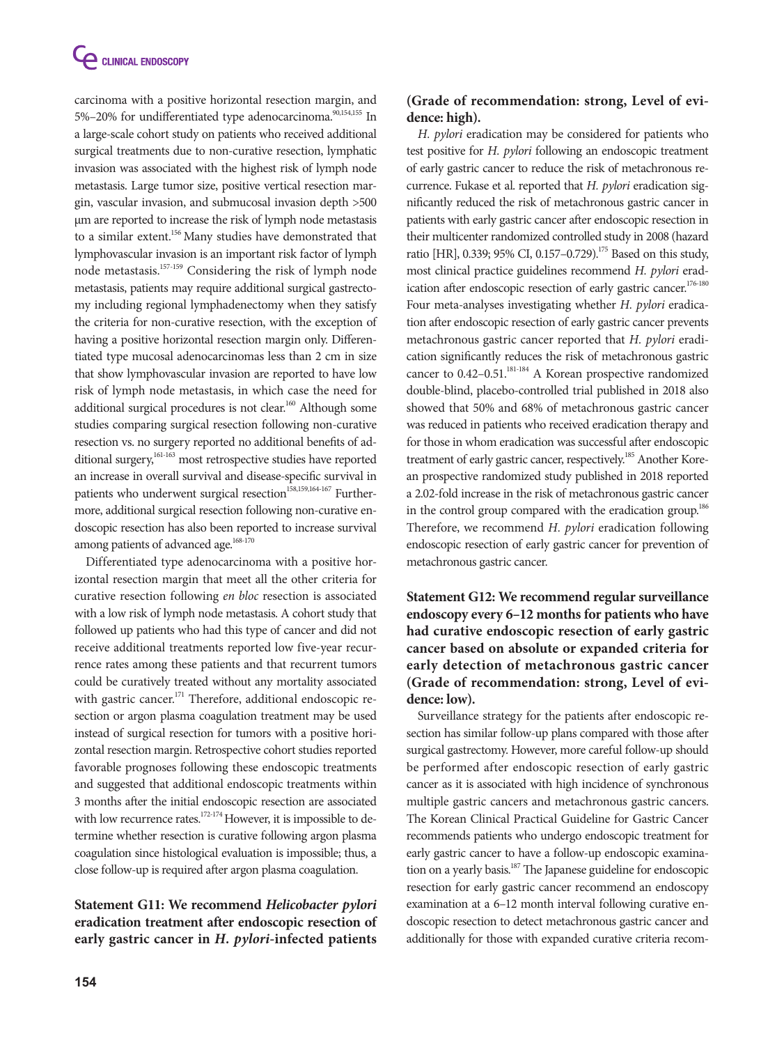carcinoma with a positive horizontal resection margin, and 5%–20% for undifferentiated type adenocarcinoma.<sup>90,154,155</sup> In a large-scale cohort study on patients who received additional surgical treatments due to non-curative resection, lymphatic invasion was associated with the highest risk of lymph node metastasis. Large tumor size, positive vertical resection margin, vascular invasion, and submucosal invasion depth >500 µm are reported to increase the risk of lymph node metastasis to a similar extent.<sup>156</sup> Many studies have demonstrated that lymphovascular invasion is an important risk factor of lymph node metastasis.157-159 Considering the risk of lymph node metastasis, patients may require additional surgical gastrectomy including regional lymphadenectomy when they satisfy the criteria for non-curative resection, with the exception of having a positive horizontal resection margin only. Differentiated type mucosal adenocarcinomas less than 2 cm in size that show lymphovascular invasion are reported to have low risk of lymph node metastasis, in which case the need for additional surgical procedures is not clear.<sup>160</sup> Although some studies comparing surgical resection following non-curative resection vs. no surgery reported no additional benefits of additional surgery,<sup>161-163</sup> most retrospective studies have reported an increase in overall survival and disease-specific survival in patients who underwent surgical resection<sup>158,159,164-167</sup> Furthermore, additional surgical resection following non-curative endoscopic resection has also been reported to increase survival among patients of advanced age.<sup>168-170</sup>

Differentiated type adenocarcinoma with a positive horizontal resection margin that meet all the other criteria for curative resection following *en bloc* resection is associated with a low risk of lymph node metastasis. A cohort study that followed up patients who had this type of cancer and did not receive additional treatments reported low five-year recurrence rates among these patients and that recurrent tumors could be curatively treated without any mortality associated with gastric cancer.<sup>171</sup> Therefore, additional endoscopic resection or argon plasma coagulation treatment may be used instead of surgical resection for tumors with a positive horizontal resection margin. Retrospective cohort studies reported favorable prognoses following these endoscopic treatments and suggested that additional endoscopic treatments within 3 months after the initial endoscopic resection are associated with low recurrence rates.<sup>172-174</sup> However, it is impossible to determine whether resection is curative following argon plasma coagulation since histological evaluation is impossible; thus, a close follow-up is required after argon plasma coagulation.

# **Statement G11: We recommend** *Helicobacter pylori*  **eradication treatment after endoscopic resection of early gastric cancer in** *H. pylori***-infected patients**

# **(Grade of recommendation: strong, Level of evidence: high).**

*H. pylori* eradication may be considered for patients who test positive for *H. pylori* following an endoscopic treatment of early gastric cancer to reduce the risk of metachronous recurrence. Fukase et al. reported that *H. pylori* eradication significantly reduced the risk of metachronous gastric cancer in patients with early gastric cancer after endoscopic resection in their multicenter randomized controlled study in 2008 (hazard ratio [HR], 0.339; 95% CI, 0.157-0.729).<sup>175</sup> Based on this study, most clinical practice guidelines recommend *H. pylori* eradication after endoscopic resection of early gastric cancer.<sup>176-180</sup> Four meta-analyses investigating whether *H. pylori* eradication after endoscopic resection of early gastric cancer prevents metachronous gastric cancer reported that *H. pylori* eradication significantly reduces the risk of metachronous gastric cancer to 0.42-0.51.<sup>181-184</sup> A Korean prospective randomized double-blind, placebo-controlled trial published in 2018 also showed that 50% and 68% of metachronous gastric cancer was reduced in patients who received eradication therapy and for those in whom eradication was successful after endoscopic treatment of early gastric cancer, respectively.<sup>185</sup> Another Korean prospective randomized study published in 2018 reported a 2.02-fold increase in the risk of metachronous gastric cancer in the control group compared with the eradication group.<sup>186</sup> Therefore, we recommend *H. pylori* eradication following endoscopic resection of early gastric cancer for prevention of metachronous gastric cancer.

# **Statement G12: We recommend regular surveillance endoscopy every 6–12 months for patients who have had curative endoscopic resection of early gastric cancer based on absolute or expanded criteria for early detection of metachronous gastric cancer (Grade of recommendation: strong, Level of evidence: low).**

Surveillance strategy for the patients after endoscopic resection has similar follow-up plans compared with those after surgical gastrectomy. However, more careful follow-up should be performed after endoscopic resection of early gastric cancer as it is associated with high incidence of synchronous multiple gastric cancers and metachronous gastric cancers. The Korean Clinical Practical Guideline for Gastric Cancer recommends patients who undergo endoscopic treatment for early gastric cancer to have a follow-up endoscopic examination on a yearly basis.<sup>187</sup> The Japanese guideline for endoscopic resection for early gastric cancer recommend an endoscopy examination at a 6–12 month interval following curative endoscopic resection to detect metachronous gastric cancer and additionally for those with expanded curative criteria recom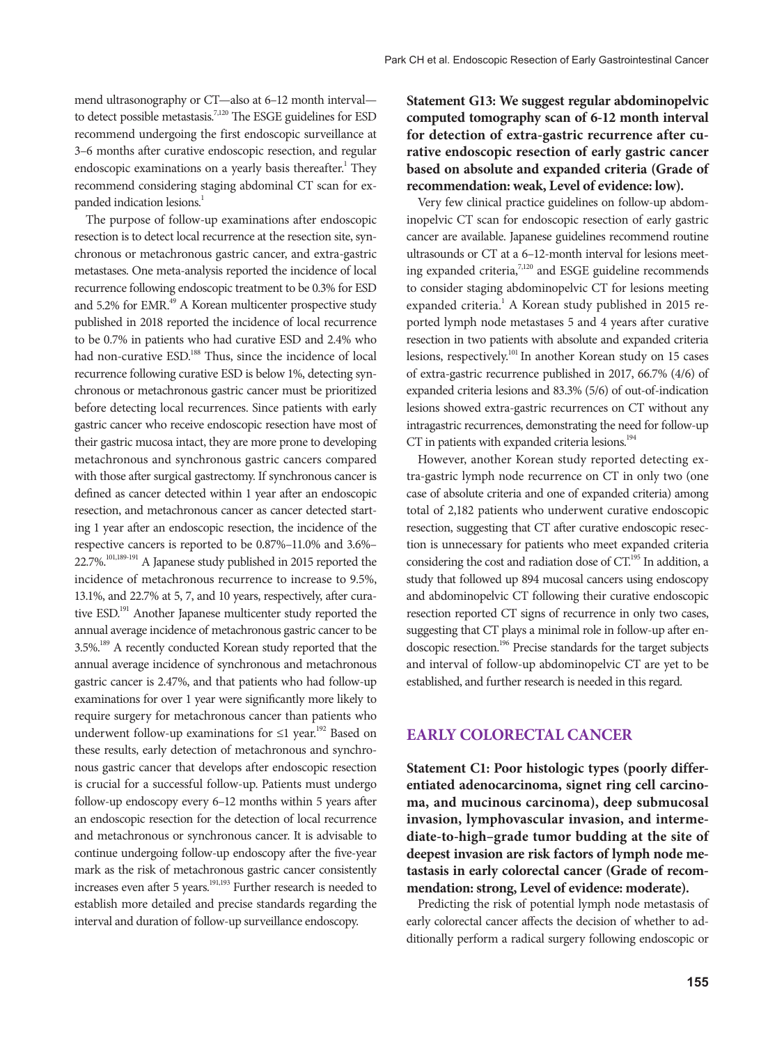mend ultrasonography or CT—also at 6–12 month interval to detect possible metastasis.<sup>7,120</sup> The ESGE guidelines for ESD recommend undergoing the first endoscopic surveillance at 3–6 months after curative endoscopic resection, and regular endoscopic examinations on a yearly basis thereafter.<sup>1</sup> They recommend considering staging abdominal CT scan for expanded indication lesions.<sup>1</sup>

The purpose of follow-up examinations after endoscopic resection is to detect local recurrence at the resection site, synchronous or metachronous gastric cancer, and extra-gastric metastases. One meta-analysis reported the incidence of local recurrence following endoscopic treatment to be 0.3% for ESD and 5.2% for EMR.<sup>49</sup> A Korean multicenter prospective study published in 2018 reported the incidence of local recurrence to be 0.7% in patients who had curative ESD and 2.4% who had non-curative ESD.<sup>188</sup> Thus, since the incidence of local recurrence following curative ESD is below 1%, detecting synchronous or metachronous gastric cancer must be prioritized before detecting local recurrences. Since patients with early gastric cancer who receive endoscopic resection have most of their gastric mucosa intact, they are more prone to developing metachronous and synchronous gastric cancers compared with those after surgical gastrectomy. If synchronous cancer is defined as cancer detected within 1 year after an endoscopic resection, and metachronous cancer as cancer detected starting 1 year after an endoscopic resection, the incidence of the respective cancers is reported to be 0.87%–11.0% and 3.6%– 22.7%.101,189-191 A Japanese study published in 2015 reported the incidence of metachronous recurrence to increase to 9.5%, 13.1%, and 22.7% at 5, 7, and 10 years, respectively, after curative ESD.<sup>191</sup> Another Japanese multicenter study reported the annual average incidence of metachronous gastric cancer to be 3.5%.189 A recently conducted Korean study reported that the annual average incidence of synchronous and metachronous gastric cancer is 2.47%, and that patients who had follow-up examinations for over 1 year were significantly more likely to require surgery for metachronous cancer than patients who underwent follow-up examinations for  $\leq 1$  year.<sup>192</sup> Based on these results, early detection of metachronous and synchronous gastric cancer that develops after endoscopic resection is crucial for a successful follow-up. Patients must undergo follow-up endoscopy every 6–12 months within 5 years after an endoscopic resection for the detection of local recurrence and metachronous or synchronous cancer. It is advisable to continue undergoing follow-up endoscopy after the five-year mark as the risk of metachronous gastric cancer consistently increases even after 5 years.<sup>191,193</sup> Further research is needed to establish more detailed and precise standards regarding the interval and duration of follow-up surveillance endoscopy.

**Statement G13: We suggest regular abdominopelvic computed tomography scan of 6-12 month interval for detection of extra-gastric recurrence after curative endoscopic resection of early gastric cancer based on absolute and expanded criteria (Grade of recommendation: weak, Level of evidence: low).**

Very few clinical practice guidelines on follow-up abdominopelvic CT scan for endoscopic resection of early gastric cancer are available. Japanese guidelines recommend routine ultrasounds or CT at a 6–12-month interval for lesions meeting expanded criteria,<sup>7,120</sup> and ESGE guideline recommends to consider staging abdominopelvic CT for lesions meeting expanded criteria.<sup>1</sup> A Korean study published in 2015 reported lymph node metastases 5 and 4 years after curative resection in two patients with absolute and expanded criteria lesions, respectively.<sup>101</sup> In another Korean study on 15 cases of extra-gastric recurrence published in 2017, 66.7% (4/6) of expanded criteria lesions and 83.3% (5/6) of out-of-indication lesions showed extra-gastric recurrences on CT without any intragastric recurrences, demonstrating the need for follow-up CT in patients with expanded criteria lesions.<sup>194</sup>

However, another Korean study reported detecting extra-gastric lymph node recurrence on CT in only two (one case of absolute criteria and one of expanded criteria) among total of 2,182 patients who underwent curative endoscopic resection, suggesting that CT after curative endoscopic resection is unnecessary for patients who meet expanded criteria considering the cost and radiation dose of CT.<sup>195</sup> In addition, a study that followed up 894 mucosal cancers using endoscopy and abdominopelvic CT following their curative endoscopic resection reported CT signs of recurrence in only two cases, suggesting that CT plays a minimal role in follow-up after endoscopic resection.196 Precise standards for the target subjects and interval of follow-up abdominopelvic CT are yet to be established, and further research is needed in this regard.

#### **Early Colorectal Cancer**

**Statement C1: Poor histologic types (poorly differentiated adenocarcinoma, signet ring cell carcinoma, and mucinous carcinoma), deep submucosal invasion, lymphovascular invasion, and intermediate-to-high–grade tumor budding at the site of deepest invasion are risk factors of lymph node metastasis in early colorectal cancer (Grade of recommendation: strong, Level of evidence: moderate).**

Predicting the risk of potential lymph node metastasis of early colorectal cancer affects the decision of whether to additionally perform a radical surgery following endoscopic or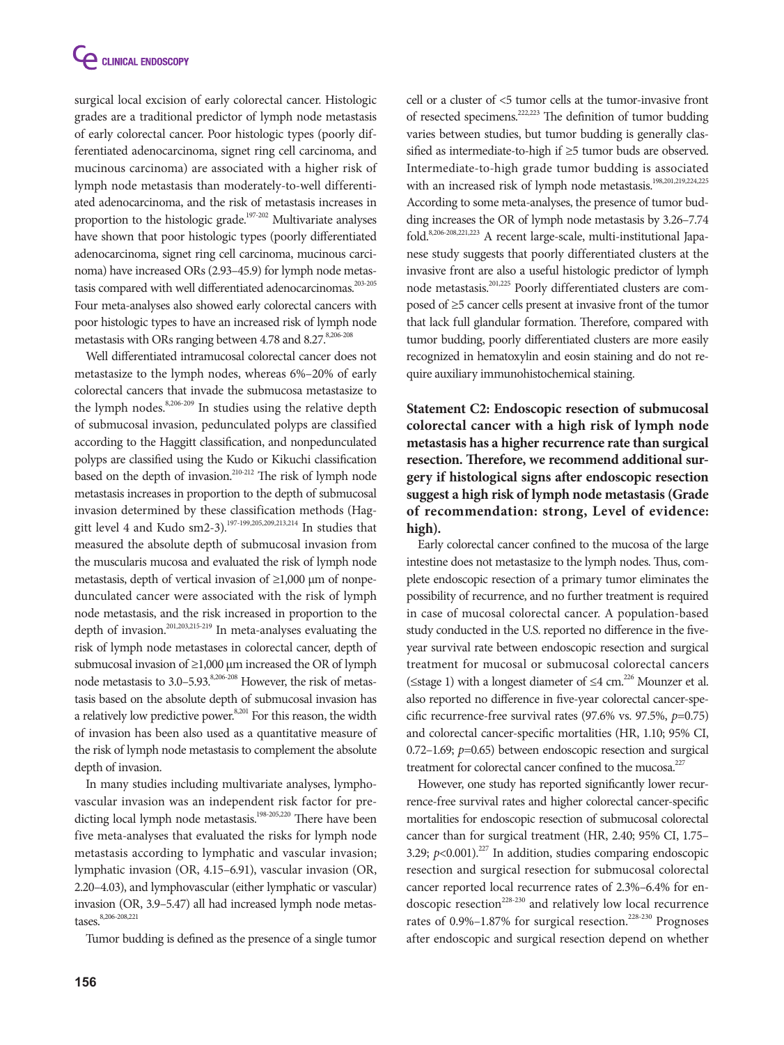surgical local excision of early colorectal cancer. Histologic grades are a traditional predictor of lymph node metastasis of early colorectal cancer. Poor histologic types (poorly differentiated adenocarcinoma, signet ring cell carcinoma, and mucinous carcinoma) are associated with a higher risk of lymph node metastasis than moderately-to-well differentiated adenocarcinoma, and the risk of metastasis increases in proportion to the histologic grade.<sup>197-202</sup> Multivariate analyses have shown that poor histologic types (poorly differentiated adenocarcinoma, signet ring cell carcinoma, mucinous carcinoma) have increased ORs (2.93–45.9) for lymph node metastasis compared with well differentiated adenocarcinomas.<sup>203-205</sup> Four meta-analyses also showed early colorectal cancers with poor histologic types to have an increased risk of lymph node metastasis with ORs ranging between 4.78 and 8.27.<sup>8,206-208</sup>

Well differentiated intramucosal colorectal cancer does not metastasize to the lymph nodes, whereas 6%–20% of early colorectal cancers that invade the submucosa metastasize to the lymph nodes.<sup>8,206-209</sup> In studies using the relative depth of submucosal invasion, pedunculated polyps are classified according to the Haggitt classification, and nonpedunculated polyps are classified using the Kudo or Kikuchi classification based on the depth of invasion.<sup>210-212</sup> The risk of lymph node metastasis increases in proportion to the depth of submucosal invasion determined by these classification methods (Haggitt level 4 and Kudo sm2-3).<sup>197-199,205,209,213,214</sup> In studies that measured the absolute depth of submucosal invasion from the muscularis mucosa and evaluated the risk of lymph node metastasis, depth of vertical invasion of ≥1,000 μm of nonpedunculated cancer were associated with the risk of lymph node metastasis, and the risk increased in proportion to the depth of invasion.201,203,215-219 In meta-analyses evaluating the risk of lymph node metastases in colorectal cancer, depth of submucosal invasion of ≥1,000 μm increased the OR of lymph node metastasis to 3.0–5.93.<sup>8,206-208</sup> However, the risk of metastasis based on the absolute depth of submucosal invasion has a relatively low predictive power.<sup>8,201</sup> For this reason, the width of invasion has been also used as a quantitative measure of the risk of lymph node metastasis to complement the absolute depth of invasion.

In many studies including multivariate analyses, lymphovascular invasion was an independent risk factor for predicting local lymph node metastasis.<sup>198-205,220</sup> There have been five meta-analyses that evaluated the risks for lymph node metastasis according to lymphatic and vascular invasion; lymphatic invasion (OR, 4.15–6.91), vascular invasion (OR, 2.20–4.03), and lymphovascular (either lymphatic or vascular) invasion (OR, 3.9–5.47) all had increased lymph node metastases.<sup>8,206-208,221</sup>

Tumor budding is defined as the presence of a single tumor

cell or a cluster of <5 tumor cells at the tumor-invasive front of resected specimens.222,223 The definition of tumor budding varies between studies, but tumor budding is generally classified as intermediate-to-high if ≥5 tumor buds are observed. Intermediate-to-high grade tumor budding is associated with an increased risk of lymph node metastasis.<sup>198,201,219,224,225</sup> According to some meta-analyses, the presence of tumor budding increases the OR of lymph node metastasis by 3.26–7.74 fold.8,206-208,221,223 A recent large-scale, multi-institutional Japanese study suggests that poorly differentiated clusters at the invasive front are also a useful histologic predictor of lymph node metastasis.201,225 Poorly differentiated clusters are composed of ≥5 cancer cells present at invasive front of the tumor that lack full glandular formation. Therefore, compared with tumor budding, poorly differentiated clusters are more easily recognized in hematoxylin and eosin staining and do not require auxiliary immunohistochemical staining.

**Statement C2: Endoscopic resection of submucosal colorectal cancer with a high risk of lymph node metastasis has a higher recurrence rate than surgical resection. Therefore, we recommend additional surgery if histological signs after endoscopic resection suggest a high risk of lymph node metastasis (Grade of recommendation: strong, Level of evidence: high).**

Early colorectal cancer confined to the mucosa of the large intestine does not metastasize to the lymph nodes. Thus, complete endoscopic resection of a primary tumor eliminates the possibility of recurrence, and no further treatment is required in case of mucosal colorectal cancer. A population-based study conducted in the U.S. reported no difference in the fiveyear survival rate between endoscopic resection and surgical treatment for mucosal or submucosal colorectal cancers ( $\leq$ stage 1) with a longest diameter of  $\leq$ 4 cm.<sup>226</sup> Mounzer et al. also reported no difference in five-year colorectal cancer-specific recurrence-free survival rates (97.6% vs. 97.5%, *p*=0.75) and colorectal cancer-specific mortalities (HR, 1.10; 95% CI, 0.72–1.69; *p*=0.65) between endoscopic resection and surgical treatment for colorectal cancer confined to the mucosa.<sup>227</sup>

However, one study has reported significantly lower recurrence-free survival rates and higher colorectal cancer-specific mortalities for endoscopic resection of submucosal colorectal cancer than for surgical treatment (HR, 2.40; 95% CI, 1.75– 3.29;  $p$ <0.001).<sup>227</sup> In addition, studies comparing endoscopic resection and surgical resection for submucosal colorectal cancer reported local recurrence rates of 2.3%–6.4% for endoscopic resection<sup>228-230</sup> and relatively low local recurrence rates of  $0.9\%$ –1.87% for surgical resection.<sup>228-230</sup> Prognoses after endoscopic and surgical resection depend on whether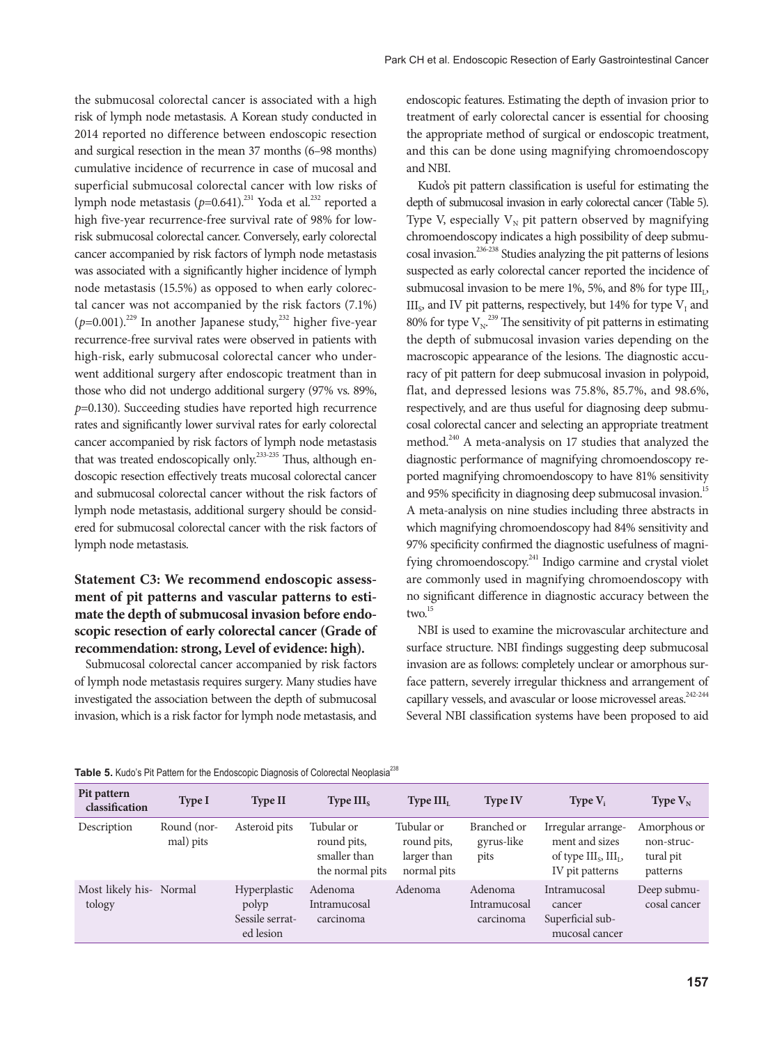the submucosal colorectal cancer is associated with a high risk of lymph node metastasis. A Korean study conducted in 2014 reported no difference between endoscopic resection and surgical resection in the mean 37 months (6–98 months) cumulative incidence of recurrence in case of mucosal and superficial submucosal colorectal cancer with low risks of lymph node metastasis ( $p=0.641$ ).<sup>231</sup> Yoda et al.<sup>232</sup> reported a high five-year recurrence-free survival rate of 98% for lowrisk submucosal colorectal cancer. Conversely, early colorectal cancer accompanied by risk factors of lymph node metastasis was associated with a significantly higher incidence of lymph node metastasis (15.5%) as opposed to when early colorectal cancer was not accompanied by the risk factors (7.1%)  $(p=0.001).$ <sup>229</sup> In another Japanese study,<sup>232</sup> higher five-year recurrence-free survival rates were observed in patients with high-risk, early submucosal colorectal cancer who underwent additional surgery after endoscopic treatment than in those who did not undergo additional surgery (97% vs. 89%, *p*=0.130). Succeeding studies have reported high recurrence rates and significantly lower survival rates for early colorectal cancer accompanied by risk factors of lymph node metastasis that was treated endoscopically only.<sup>233-235</sup> Thus, although endoscopic resection effectively treats mucosal colorectal cancer and submucosal colorectal cancer without the risk factors of lymph node metastasis, additional surgery should be considered for submucosal colorectal cancer with the risk factors of lymph node metastasis.

# **Statement C3: We recommend endoscopic assessment of pit patterns and vascular patterns to estimate the depth of submucosal invasion before endoscopic resection of early colorectal cancer (Grade of recommendation: strong, Level of evidence: high).**

Submucosal colorectal cancer accompanied by risk factors of lymph node metastasis requires surgery. Many studies have investigated the association between the depth of submucosal invasion, which is a risk factor for lymph node metastasis, and

endoscopic features. Estimating the depth of invasion prior to treatment of early colorectal cancer is essential for choosing the appropriate method of surgical or endoscopic treatment, and this can be done using magnifying chromoendoscopy and NBI.

Kudo's pit pattern classification is useful for estimating the depth of submucosal invasion in early colorectal cancer (Table 5). Type V, especially  $V_N$  pit pattern observed by magnifying chromoendoscopy indicates a high possibility of deep submucosal invasion.236-238 Studies analyzing the pit patterns of lesions suspected as early colorectal cancer reported the incidence of submucosal invasion to be mere 1%, 5%, and 8% for type  $III_1$ ,  $III<sub>s</sub>$ , and IV pit patterns, respectively, but 14% for type  $V<sub>I</sub>$  and 80% for type  $V_N$ .<sup>239</sup> The sensitivity of pit patterns in estimating the depth of submucosal invasion varies depending on the macroscopic appearance of the lesions. The diagnostic accuracy of pit pattern for deep submucosal invasion in polypoid, flat, and depressed lesions was 75.8%, 85.7%, and 98.6%, respectively, and are thus useful for diagnosing deep submucosal colorectal cancer and selecting an appropriate treatment method.<sup>240</sup> A meta-analysis on 17 studies that analyzed the diagnostic performance of magnifying chromoendoscopy reported magnifying chromoendoscopy to have 81% sensitivity and 95% specificity in diagnosing deep submucosal invasion.<sup>15</sup> A meta-analysis on nine studies including three abstracts in which magnifying chromoendoscopy had 84% sensitivity and 97% specificity confirmed the diagnostic usefulness of magnifying chromoendoscopy.<sup>241</sup> Indigo carmine and crystal violet are commonly used in magnifying chromoendoscopy with no significant difference in diagnostic accuracy between the two.<sup>15</sup>

NBI is used to examine the microvascular architecture and surface structure. NBI findings suggesting deep submucosal invasion are as follows: completely unclear or amorphous surface pattern, severely irregular thickness and arrangement of capillary vessels, and avascular or loose microvessel areas.<sup>242-244</sup> Several NBI classification systems have been proposed to aid

| Pit pattern<br>classification     | <b>Type I</b>            | <b>Type II</b>                                        | Type $IIIs$                                                  | Type III <sub>L</sub>                                   | <b>Type IV</b>                       | Type $V_i$                                                                                 | Type $V_N$                                          |
|-----------------------------------|--------------------------|-------------------------------------------------------|--------------------------------------------------------------|---------------------------------------------------------|--------------------------------------|--------------------------------------------------------------------------------------------|-----------------------------------------------------|
| Description                       | Round (nor-<br>mal) pits | Asteroid pits                                         | Tubular or<br>round pits,<br>smaller than<br>the normal pits | Tubular or<br>round pits,<br>larger than<br>normal pits | Branched or<br>gyrus-like<br>pits    | Irregular arrange-<br>ment and sizes<br>of type $III_{s}$ , $III_{1}$ ,<br>IV pit patterns | Amorphous or<br>non-struc-<br>tural pit<br>patterns |
| Most likely his- Normal<br>tology |                          | Hyperplastic<br>polyp<br>Sessile serrat-<br>ed lesion | Adenoma<br>Intramucosal<br>carcinoma                         | Adenoma                                                 | Adenoma<br>Intramucosal<br>carcinoma | Intramucosal<br>cancer<br>Superficial sub-<br>mucosal cancer                               | Deep submu-<br>cosal cancer                         |

Table 5. Kudo's Pit Pattern for the Endoscopic Diagnosis of Colorectal Neoplasia<sup>238</sup>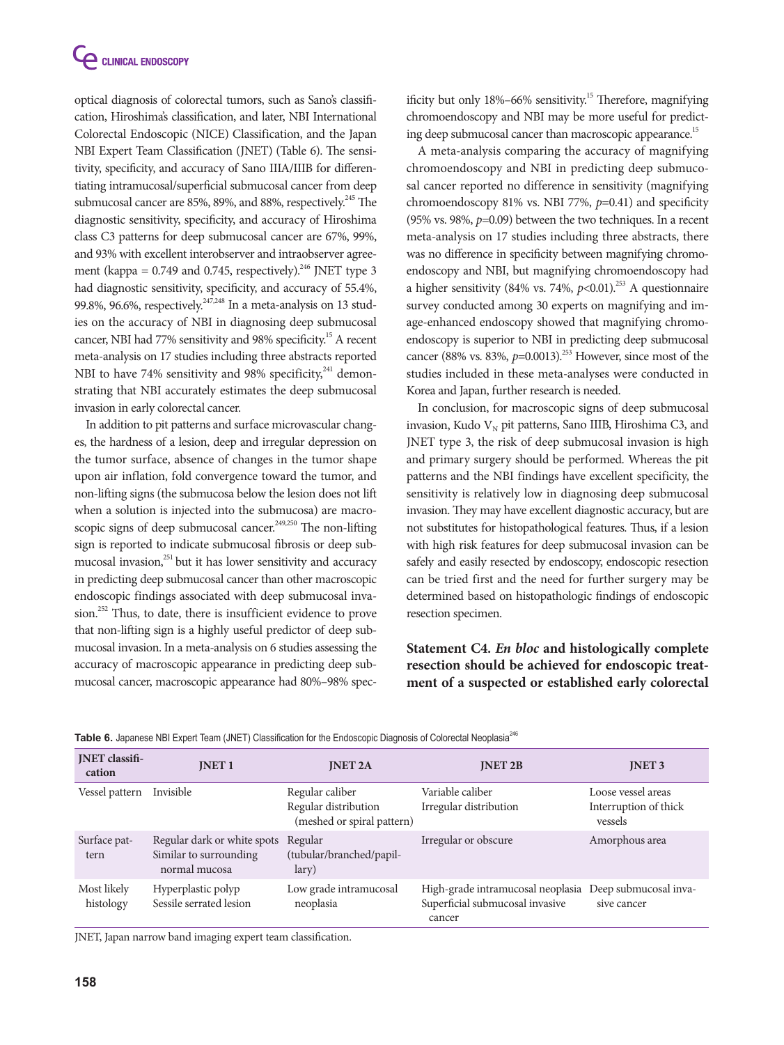optical diagnosis of colorectal tumors, such as Sano's classification, Hiroshima's classification, and later, NBI International Colorectal Endoscopic (NICE) Classification, and the Japan NBI Expert Team Classification (JNET) (Table 6). The sensitivity, specificity, and accuracy of Sano IIIA/IIIB for differentiating intramucosal/superficial submucosal cancer from deep submucosal cancer are 85%, 89%, and 88%, respectively.<sup>245</sup> The diagnostic sensitivity, specificity, and accuracy of Hiroshima class C3 patterns for deep submucosal cancer are 67%, 99%, and 93% with excellent interobserver and intraobserver agreement (kappa =  $0.749$  and  $0.745$ , respectively).<sup>246</sup> JNET type 3 had diagnostic sensitivity, specificity, and accuracy of 55.4%, 99.8%, 96.6%, respectively.<sup>247,248</sup> In a meta-analysis on 13 studies on the accuracy of NBI in diagnosing deep submucosal cancer, NBI had 77% sensitivity and 98% specificity.15 A recent meta-analysis on 17 studies including three abstracts reported NBI to have 74% sensitivity and 98% specificity, $241$  demonstrating that NBI accurately estimates the deep submucosal invasion in early colorectal cancer.

In addition to pit patterns and surface microvascular changes, the hardness of a lesion, deep and irregular depression on the tumor surface, absence of changes in the tumor shape upon air inflation, fold convergence toward the tumor, and non-lifting signs (the submucosa below the lesion does not lift when a solution is injected into the submucosa) are macroscopic signs of deep submucosal cancer.<sup>249,250</sup> The non-lifting sign is reported to indicate submucosal fibrosis or deep submucosal invasion,<sup>251</sup> but it has lower sensitivity and accuracy in predicting deep submucosal cancer than other macroscopic endoscopic findings associated with deep submucosal invasion.<sup>252</sup> Thus, to date, there is insufficient evidence to prove that non-lifting sign is a highly useful predictor of deep submucosal invasion. In a meta-analysis on 6 studies assessing the accuracy of macroscopic appearance in predicting deep submucosal cancer, macroscopic appearance had 80%–98% specificity but only  $18\% - 66\%$  sensitivity.<sup>15</sup> Therefore, magnifying chromoendoscopy and NBI may be more useful for predicting deep submucosal cancer than macroscopic appearance.<sup>15</sup>

A meta-analysis comparing the accuracy of magnifying chromoendoscopy and NBI in predicting deep submucosal cancer reported no difference in sensitivity (magnifying chromoendoscopy 81% vs. NBI 77%, *p*=0.41) and specificity (95% vs. 98%, *p*=0.09) between the two techniques. In a recent meta-analysis on 17 studies including three abstracts, there was no difference in specificity between magnifying chromoendoscopy and NBI, but magnifying chromoendoscopy had a higher sensitivity (84% vs. 74%,  $p<0.01$ ).<sup>253</sup> A questionnaire survey conducted among 30 experts on magnifying and image-enhanced endoscopy showed that magnifying chromoendoscopy is superior to NBI in predicting deep submucosal cancer (88% vs. 83%, *p*=0.0013).<sup>253</sup> However, since most of the studies included in these meta-analyses were conducted in Korea and Japan, further research is needed.

In conclusion, for macroscopic signs of deep submucosal invasion, Kudo  $V_N$  pit patterns, Sano IIIB, Hiroshima C3, and JNET type 3, the risk of deep submucosal invasion is high and primary surgery should be performed. Whereas the pit patterns and the NBI findings have excellent specificity, the sensitivity is relatively low in diagnosing deep submucosal invasion. They may have excellent diagnostic accuracy, but are not substitutes for histopathological features. Thus, if a lesion with high risk features for deep submucosal invasion can be safely and easily resected by endoscopy, endoscopic resection can be tried first and the need for further surgery may be determined based on histopathologic findings of endoscopic resection specimen.

**Statement C4.** *En bloc* **and histologically complete resection should be achieved for endoscopic treatment of a suspected or established early colorectal** 

| <b>INET</b> classifi-<br>cation | <b>INET1</b>                                                           | <b>INET 2A</b>                                                        | <b>INET 2B</b>                                                                 | <b>INET 3</b>                                          |
|---------------------------------|------------------------------------------------------------------------|-----------------------------------------------------------------------|--------------------------------------------------------------------------------|--------------------------------------------------------|
| Vessel pattern                  | Invisible                                                              | Regular caliber<br>Regular distribution<br>(meshed or spiral pattern) | Variable caliber<br>Irregular distribution                                     | Loose vessel areas<br>Interruption of thick<br>vessels |
| Surface pat-<br>tern            | Regular dark or white spots<br>Similar to surrounding<br>normal mucosa | Regular<br>(tubular/branched/papil-<br>lary)                          | Irregular or obscure                                                           | Amorphous area                                         |
| Most likely<br>histology        | Hyperplastic polyp<br>Sessile serrated lesion                          | Low grade intramucosal<br>neoplasia                                   | High-grade intramucosal neoplasia<br>Superficial submucosal invasive<br>cancer | Deep submucosal inva-<br>sive cancer                   |

Table 6. Japanese NBI Expert Team (JNET) Classification for the Endoscopic Diagnosis of Colorectal Neoplasia<sup>246</sup>

JNET, Japan narrow band imaging expert team classification.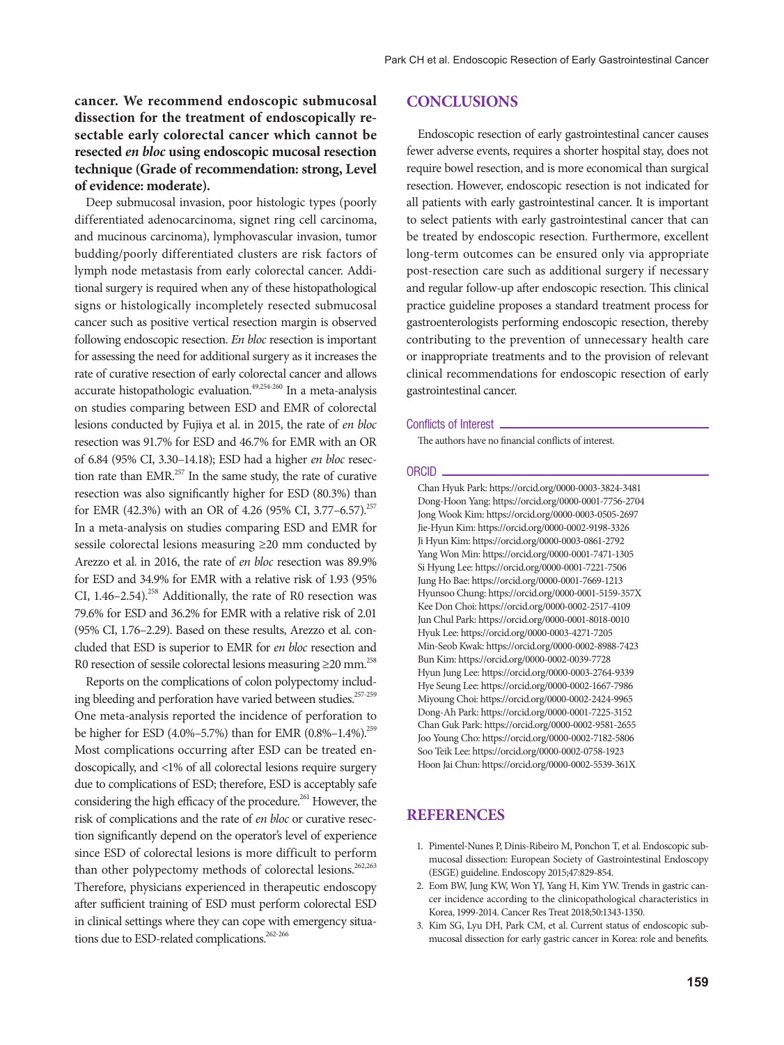## **cancer. We recommend endoscopic submucosal dissection for the treatment of endoscopically resectable early colorectal cancer which cannot be resected** *en bloc* **using endoscopic mucosal resection technique (Grade of recommendation: strong, Level of evidence: moderate).**

Deep submucosal invasion, poor histologic types (poorly differentiated adenocarcinoma, signet ring cell carcinoma, and mucinous carcinoma), lymphovascular invasion, tumor budding/poorly differentiated clusters are risk factors of lymph node metastasis from early colorectal cancer. Additional surgery is required when any of these histopathological signs or histologically incompletely resected submucosal cancer such as positive vertical resection margin is observed following endoscopic resection. *En bloc* resection is important for assessing the need for additional surgery as it increases the rate of curative resection of early colorectal cancer and allows accurate histopathologic evaluation.<sup>49,254-260</sup> In a meta-analysis on studies comparing between ESD and EMR of colorectal lesions conducted by Fujiya et al. in 2015, the rate of *en bloc* resection was 91.7% for ESD and 46.7% for EMR with an OR of 6.84 (95% CI, 3.30–14.18); ESD had a higher *en bloc* resection rate than EMR.<sup>257</sup> In the same study, the rate of curative resection was also significantly higher for ESD (80.3%) than for EMR (42.3%) with an OR of 4.26 (95% CI, 3.77–6.57).<sup>257</sup> In a meta-analysis on studies comparing ESD and EMR for sessile colorectal lesions measuring ≥20 mm conducted by Arezzo et al. in 2016, the rate of *en bloc* resection was 89.9% for ESD and 34.9% for EMR with a relative risk of 1.93 (95% CI,  $1.46-2.54$ ).<sup>258</sup> Additionally, the rate of R0 resection was 79.6% for ESD and 36.2% for EMR with a relative risk of 2.01 (95% CI, 1.76–2.29). Based on these results, Arezzo et al. concluded that ESD is superior to EMR for *en bloc* resection and R0 resection of sessile colorectal lesions measuring  $\geq$ 20 mm.<sup>258</sup>

Reports on the complications of colon polypectomy including bleeding and perforation have varied between studies.<sup>257-259</sup> One meta-analysis reported the incidence of perforation to be higher for ESD (4.0%–5.7%) than for EMR (0.8%–1.4%).<sup>259</sup> Most complications occurring after ESD can be treated endoscopically, and <1% of all colorectal lesions require surgery due to complications of ESD; therefore, ESD is acceptably safe considering the high efficacy of the procedure.<sup>261</sup> However, the risk of complications and the rate of *en bloc* or curative resection significantly depend on the operator's level of experience since ESD of colorectal lesions is more difficult to perform than other polypectomy methods of colorectal lesions.<sup>262,263</sup> Therefore, physicians experienced in therapeutic endoscopy after sufficient training of ESD must perform colorectal ESD in clinical settings where they can cope with emergency situations due to ESD-related complications.<sup>262-266</sup>

#### **Conclusions**

Endoscopic resection of early gastrointestinal cancer causes fewer adverse events, requires a shorter hospital stay, does not require bowel resection, and is more economical than surgical resection. However, endoscopic resection is not indicated for all patients with early gastrointestinal cancer. It is important to select patients with early gastrointestinal cancer that can be treated by endoscopic resection. Furthermore, excellent long-term outcomes can be ensured only via appropriate post-resection care such as additional surgery if necessary and regular follow-up after endoscopic resection. This clinical practice guideline proposes a standard treatment process for gastroenterologists performing endoscopic resection, thereby contributing to the prevention of unnecessary health care or inappropriate treatments and to the provision of relevant clinical recommendations for endoscopic resection of early gastrointestinal cancer.

#### Conflicts of Interest

The authors have no financial conflicts of interest.

#### **ORCID**

Chan Hyuk Park: https://orcid.org/0000-0003-3824-3481 Dong-Hoon Yang: https://orcid.org/0000-0001-7756-2704 Jong Wook Kim: https://orcid.org/0000-0003-0505-2697 Jie-Hyun Kim: https://orcid.org/0000-0002-9198-3326 Ji Hyun Kim: https://orcid.org/0000-0003-0861-2792 Yang Won Min: https://orcid.org/0000-0001-7471-1305 Si Hyung Lee: https://orcid.org/0000-0001-7221-7506 Jung Ho Bae: https://orcid.org/0000-0001-7669-1213 Hyunsoo Chung: https://orcid.org/0000-0001-5159-357X Kee Don Choi: https://orcid.org/0000-0002-2517-4109 Jun Chul Park: https://orcid.org/0000-0001-8018-0010 Hyuk Lee: https://orcid.org/0000-0003-4271-7205 Min-Seob Kwak: https://orcid.org/0000-0002-8988-7423 Bun Kim: https://orcid.org/0000-0002-0039-7728 Hyun Jung Lee: https://orcid.org/0000-0003-2764-9339 Hye Seung Lee: https://orcid.org/0000-0002-1667-7986 Miyoung Choi: https://orcid.org/0000-0002-2424-9965 Dong-Ah Park: https://orcid.org/0000-0001-7225-3152 Chan Guk Park: https://orcid.org/0000-0002-9581-2655 Joo Young Cho: https://orcid.org/0000-0002-7182-5806 Soo Teik Lee: https://orcid.org/0000-0002-0758-1923 Hoon Jai Chun: https://orcid.org/0000-0002-5539-361X

# **References**

- 1. Pimentel-Nunes P, Dinis-Ribeiro M, Ponchon T, et al. Endoscopic submucosal dissection: European Society of Gastrointestinal Endoscopy (ESGE) guideline. Endoscopy 2015;47:829-854.
- 2. Eom BW, Jung KW, Won YJ, Yang H, Kim YW. Trends in gastric cancer incidence according to the clinicopathological characteristics in Korea, 1999-2014. Cancer Res Treat 2018;50:1343-1350.
- 3. Kim SG, Lyu DH, Park CM, et al. Current status of endoscopic submucosal dissection for early gastric cancer in Korea: role and benefits.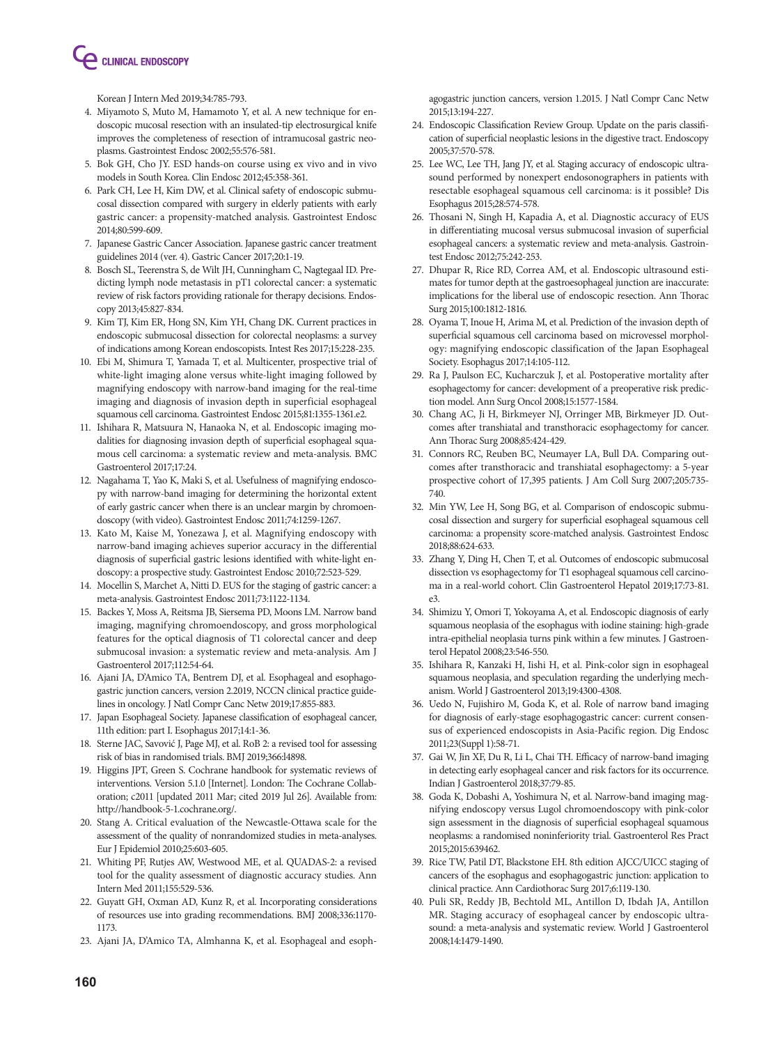**CLINICAL ENDOSCOPY** 

Korean J Intern Med 2019;34:785-793.

- 4. Miyamoto S, Muto M, Hamamoto Y, et al. A new technique for endoscopic mucosal resection with an insulated-tip electrosurgical knife improves the completeness of resection of intramucosal gastric neoplasms. Gastrointest Endosc 2002;55:576-581.
- 5. Bok GH, Cho JY. ESD hands-on course using ex vivo and in vivo models in South Korea. Clin Endosc 2012;45:358-361.
- 6. Park CH, Lee H, Kim DW, et al. Clinical safety of endoscopic submucosal dissection compared with surgery in elderly patients with early gastric cancer: a propensity-matched analysis. Gastrointest Endosc 2014;80:599-609.
- 7. Japanese Gastric Cancer Association. Japanese gastric cancer treatment guidelines 2014 (ver. 4). Gastric Cancer 2017;20:1-19.
- 8. Bosch SL, Teerenstra S, de Wilt JH, Cunningham C, Nagtegaal ID. Predicting lymph node metastasis in pT1 colorectal cancer: a systematic review of risk factors providing rationale for therapy decisions. Endoscopy 2013;45:827-834.
- 9. Kim TJ, Kim ER, Hong SN, Kim YH, Chang DK. Current practices in endoscopic submucosal dissection for colorectal neoplasms: a survey of indications among Korean endoscopists. Intest Res 2017;15:228-235.
- 10. Ebi M, Shimura T, Yamada T, et al. Multicenter, prospective trial of white-light imaging alone versus white-light imaging followed by magnifying endoscopy with narrow-band imaging for the real-time imaging and diagnosis of invasion depth in superficial esophageal squamous cell carcinoma. Gastrointest Endosc 2015;81:1355-1361.e2.
- 11. Ishihara R, Matsuura N, Hanaoka N, et al. Endoscopic imaging modalities for diagnosing invasion depth of superficial esophageal squamous cell carcinoma: a systematic review and meta-analysis. BMC Gastroenterol 2017;17:24.
- 12. Nagahama T, Yao K, Maki S, et al. Usefulness of magnifying endoscopy with narrow-band imaging for determining the horizontal extent of early gastric cancer when there is an unclear margin by chromoendoscopy (with video). Gastrointest Endosc 2011;74:1259-1267.
- 13. Kato M, Kaise M, Yonezawa J, et al. Magnifying endoscopy with narrow-band imaging achieves superior accuracy in the differential diagnosis of superficial gastric lesions identified with white-light endoscopy: a prospective study. Gastrointest Endosc 2010;72:523-529.
- 14. Mocellin S, Marchet A, Nitti D. EUS for the staging of gastric cancer: a meta-analysis. Gastrointest Endosc 2011;73:1122-1134.
- 15. Backes Y, Moss A, Reitsma JB, Siersema PD, Moons LM. Narrow band imaging, magnifying chromoendoscopy, and gross morphological features for the optical diagnosis of T1 colorectal cancer and deep submucosal invasion: a systematic review and meta-analysis. Am J Gastroenterol 2017;112:54-64.
- 16. Ajani JA, D'Amico TA, Bentrem DJ, et al. Esophageal and esophagogastric junction cancers, version 2.2019, NCCN clinical practice guidelines in oncology. J Natl Compr Canc Netw 2019;17:855-883.
- 17. Japan Esophageal Society. Japanese classification of esophageal cancer, 11th edition: part I. Esophagus 2017;14:1-36.
- 18. Sterne JAC, Savović J, Page MJ, et al. RoB 2: a revised tool for assessing risk of bias in randomised trials. BMJ 2019;366:l4898.
- 19. Higgins JPT, Green S. Cochrane handbook for systematic reviews of interventions. Version 5.1.0 [Internet]. London: The Cochrane Collaboration; c2011 [updated 2011 Mar; cited 2019 Jul 26]. Available from: http://handbook-5-1.cochrane.org/.
- 20. Stang A. Critical evaluation of the Newcastle-Ottawa scale for the assessment of the quality of nonrandomized studies in meta-analyses. Eur J Epidemiol 2010;25:603-605.
- 21. Whiting PF, Rutjes AW, Westwood ME, et al. QUADAS-2: a revised tool for the quality assessment of diagnostic accuracy studies. Ann Intern Med 2011;155:529-536.
- 22. Guyatt GH, Oxman AD, Kunz R, et al. Incorporating considerations of resources use into grading recommendations. BMJ 2008;336:1170- 1173.
- 23. Ajani JA, D'Amico TA, Almhanna K, et al. Esophageal and esoph-

agogastric junction cancers, version 1.2015. J Natl Compr Canc Netw 2015;13:194-227.

- 24. Endoscopic Classification Review Group. Update on the paris classification of superficial neoplastic lesions in the digestive tract. Endoscopy 2005;37:570-578.
- 25. Lee WC, Lee TH, Jang JY, et al. Staging accuracy of endoscopic ultrasound performed by nonexpert endosonographers in patients with resectable esophageal squamous cell carcinoma: is it possible? Dis Esophagus 2015;28:574-578.
- 26. Thosani N, Singh H, Kapadia A, et al. Diagnostic accuracy of EUS in differentiating mucosal versus submucosal invasion of superficial esophageal cancers: a systematic review and meta-analysis. Gastrointest Endosc 2012;75:242-253.
- 27. Dhupar R, Rice RD, Correa AM, et al. Endoscopic ultrasound estimates for tumor depth at the gastroesophageal junction are inaccurate: implications for the liberal use of endoscopic resection. Ann Thorac Surg 2015;100:1812-1816.
- 28. Oyama T, Inoue H, Arima M, et al. Prediction of the invasion depth of superficial squamous cell carcinoma based on microvessel morphology: magnifying endoscopic classification of the Japan Esophageal Society. Esophagus 2017;14:105-112.
- 29. Ra J, Paulson EC, Kucharczuk J, et al. Postoperative mortality after esophagectomy for cancer: development of a preoperative risk prediction model. Ann Surg Oncol 2008;15:1577-1584.
- 30. Chang AC, Ji H, Birkmeyer NJ, Orringer MB, Birkmeyer JD. Outcomes after transhiatal and transthoracic esophagectomy for cancer. Ann Thorac Surg 2008;85:424-429.
- 31. Connors RC, Reuben BC, Neumayer LA, Bull DA. Comparing outcomes after transthoracic and transhiatal esophagectomy: a 5-year prospective cohort of 17,395 patients. J Am Coll Surg 2007;205:735- 740.
- 32. Min YW, Lee H, Song BG, et al. Comparison of endoscopic submucosal dissection and surgery for superficial esophageal squamous cell carcinoma: a propensity score-matched analysis. Gastrointest Endosc 2018;88:624-633.
- 33. Zhang Y, Ding H, Chen T, et al. Outcomes of endoscopic submucosal dissection vs esophagectomy for T1 esophageal squamous cell carcinoma in a real-world cohort. Clin Gastroenterol Hepatol 2019;17:73-81. e3.
- 34. Shimizu Y, Omori T, Yokoyama A, et al. Endoscopic diagnosis of early squamous neoplasia of the esophagus with iodine staining: high-grade intra-epithelial neoplasia turns pink within a few minutes. J Gastroenterol Hepatol 2008;23:546-550.
- 35. Ishihara R, Kanzaki H, Iishi H, et al. Pink-color sign in esophageal squamous neoplasia, and speculation regarding the underlying mechanism. World J Gastroenterol 2013;19:4300-4308.
- 36. Uedo N, Fujishiro M, Goda K, et al. Role of narrow band imaging for diagnosis of early-stage esophagogastric cancer: current consensus of experienced endoscopists in Asia-Pacific region. Dig Endosc 2011;23(Suppl 1):58-71.
- 37. Gai W, Jin XF, Du R, Li L, Chai TH. Efficacy of narrow-band imaging in detecting early esophageal cancer and risk factors for its occurrence. Indian J Gastroenterol 2018;37:79-85.
- 38. Goda K, Dobashi A, Yoshimura N, et al. Narrow-band imaging magnifying endoscopy versus Lugol chromoendoscopy with pink-color sign assessment in the diagnosis of superficial esophageal squamous neoplasms: a randomised noninferiority trial. Gastroenterol Res Pract 2015;2015:639462.
- 39. Rice TW, Patil DT, Blackstone EH. 8th edition AJCC/UICC staging of cancers of the esophagus and esophagogastric junction: application to clinical practice. Ann Cardiothorac Surg 2017;6:119-130.
- 40. Puli SR, Reddy JB, Bechtold ML, Antillon D, Ibdah JA, Antillon MR. Staging accuracy of esophageal cancer by endoscopic ultrasound: a meta-analysis and systematic review. World J Gastroenterol 2008;14:1479-1490.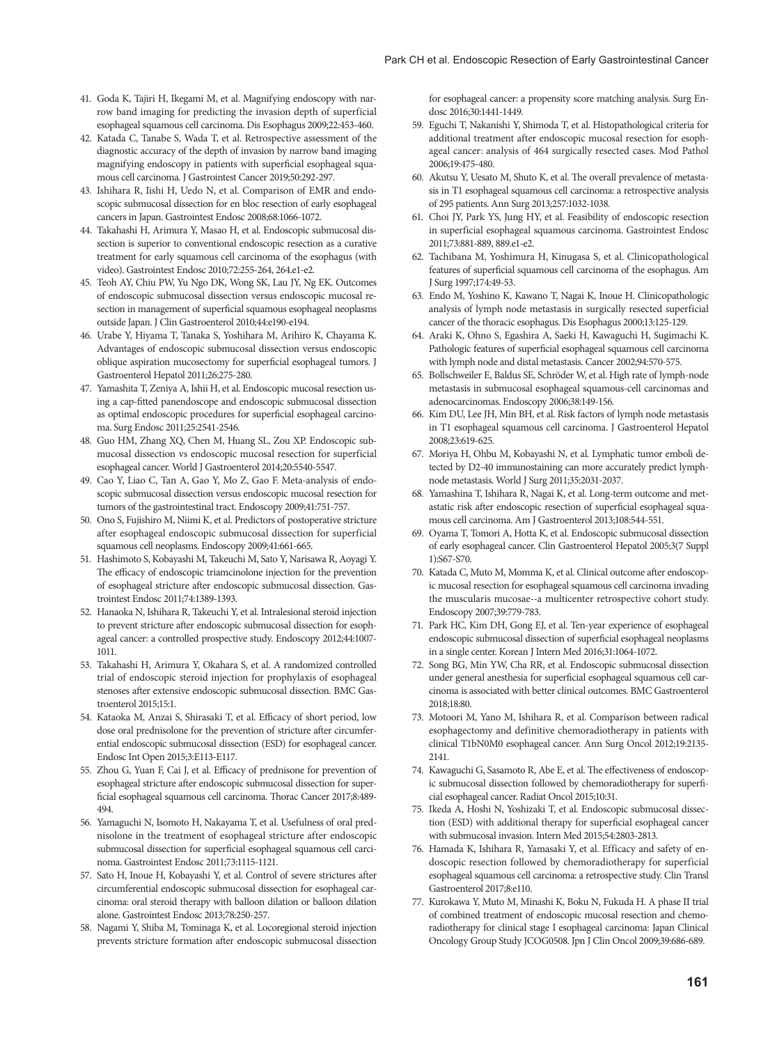- 41. Goda K, Tajiri H, Ikegami M, et al. Magnifying endoscopy with narrow band imaging for predicting the invasion depth of superficial esophageal squamous cell carcinoma. Dis Esophagus 2009;22:453-460.
- 42. Katada C, Tanabe S, Wada T, et al. Retrospective assessment of the diagnostic accuracy of the depth of invasion by narrow band imaging magnifying endoscopy in patients with superficial esophageal squamous cell carcinoma. J Gastrointest Cancer 2019;50:292-297.
- 43. Ishihara R, Iishi H, Uedo N, et al. Comparison of EMR and endoscopic submucosal dissection for en bloc resection of early esophageal cancers in Japan. Gastrointest Endosc 2008;68:1066-1072.
- 44. Takahashi H, Arimura Y, Masao H, et al. Endoscopic submucosal dissection is superior to conventional endoscopic resection as a curative treatment for early squamous cell carcinoma of the esophagus (with video). Gastrointest Endosc 2010;72:255-264, 264.e1-e2.
- 45. Teoh AY, Chiu PW, Yu Ngo DK, Wong SK, Lau JY, Ng EK. Outcomes of endoscopic submucosal dissection versus endoscopic mucosal resection in management of superficial squamous esophageal neoplasms outside Japan. J Clin Gastroenterol 2010;44:e190-e194.
- 46. Urabe Y, Hiyama T, Tanaka S, Yoshihara M, Arihiro K, Chayama K. Advantages of endoscopic submucosal dissection versus endoscopic oblique aspiration mucosectomy for superficial esophageal tumors. J Gastroenterol Hepatol 2011;26:275-280.
- 47. Yamashita T, Zeniya A, Ishii H, et al. Endoscopic mucosal resection using a cap-fitted panendoscope and endoscopic submucosal dissection as optimal endoscopic procedures for superficial esophageal carcinoma. Surg Endosc 2011;25:2541-2546.
- 48. Guo HM, Zhang XQ, Chen M, Huang SL, Zou XP. Endoscopic submucosal dissection vs endoscopic mucosal resection for superficial esophageal cancer. World J Gastroenterol 2014;20:5540-5547.
- 49. Cao Y, Liao C, Tan A, Gao Y, Mo Z, Gao F. Meta-analysis of endoscopic submucosal dissection versus endoscopic mucosal resection for tumors of the gastrointestinal tract. Endoscopy 2009;41:751-757.
- 50. Ono S, Fujishiro M, Niimi K, et al. Predictors of postoperative stricture after esophageal endoscopic submucosal dissection for superficial squamous cell neoplasms. Endoscopy 2009;41:661-665.
- 51. Hashimoto S, Kobayashi M, Takeuchi M, Sato Y, Narisawa R, Aoyagi Y. The efficacy of endoscopic triamcinolone injection for the prevention of esophageal stricture after endoscopic submucosal dissection. Gastrointest Endosc 2011;74:1389-1393.
- 52. Hanaoka N, Ishihara R, Takeuchi Y, et al. Intralesional steroid injection to prevent stricture after endoscopic submucosal dissection for esophageal cancer: a controlled prospective study. Endoscopy 2012;44:1007- 1011.
- 53. Takahashi H, Arimura Y, Okahara S, et al. A randomized controlled trial of endoscopic steroid injection for prophylaxis of esophageal stenoses after extensive endoscopic submucosal dissection. BMC Gastroenterol 2015;15:1.
- 54. Kataoka M, Anzai S, Shirasaki T, et al. Efficacy of short period, low dose oral prednisolone for the prevention of stricture after circumferential endoscopic submucosal dissection (ESD) for esophageal cancer. Endosc Int Open 2015;3:E113-E117.
- 55. Zhou G, Yuan F, Cai J, et al. Efficacy of prednisone for prevention of esophageal stricture after endoscopic submucosal dissection for superficial esophageal squamous cell carcinoma. Thorac Cancer 2017;8:489- 494.
- 56. Yamaguchi N, Isomoto H, Nakayama T, et al. Usefulness of oral prednisolone in the treatment of esophageal stricture after endoscopic submucosal dissection for superficial esophageal squamous cell carcinoma. Gastrointest Endosc 2011;73:1115-1121.
- 57. Sato H, Inoue H, Kobayashi Y, et al. Control of severe strictures after circumferential endoscopic submucosal dissection for esophageal carcinoma: oral steroid therapy with balloon dilation or balloon dilation alone. Gastrointest Endosc 2013;78:250-257.
- 58. Nagami Y, Shiba M, Tominaga K, et al. Locoregional steroid injection prevents stricture formation after endoscopic submucosal dissection

for esophageal cancer: a propensity score matching analysis. Surg Endosc 2016;30:1441-1449.

- 59. Eguchi T, Nakanishi Y, Shimoda T, et al. Histopathological criteria for additional treatment after endoscopic mucosal resection for esophageal cancer: analysis of 464 surgically resected cases. Mod Pathol 2006;19:475-480.
- 60. Akutsu Y, Uesato M, Shuto K, et al. The overall prevalence of metastasis in T1 esophageal squamous cell carcinoma: a retrospective analysis of 295 patients. Ann Surg 2013;257:1032-1038.
- 61. Choi JY, Park YS, Jung HY, et al. Feasibility of endoscopic resection in superficial esophageal squamous carcinoma. Gastrointest Endosc 2011;73:881-889, 889.e1-e2.
- 62. Tachibana M, Yoshimura H, Kinugasa S, et al. Clinicopathological features of superficial squamous cell carcinoma of the esophagus. Am J Surg 1997;174:49-53.
- 63. Endo M, Yoshino K, Kawano T, Nagai K, Inoue H. Clinicopathologic analysis of lymph node metastasis in surgically resected superficial cancer of the thoracic esophagus. Dis Esophagus 2000;13:125-129.
- 64. Araki K, Ohno S, Egashira A, Saeki H, Kawaguchi H, Sugimachi K. Pathologic features of superficial esophageal squamous cell carcinoma with lymph node and distal metastasis. Cancer 2002;94:570-575.
- 65. Bollschweiler E, Baldus SE, Schröder W, et al. High rate of lymph-node metastasis in submucosal esophageal squamous-cell carcinomas and adenocarcinomas. Endoscopy 2006;38:149-156.
- 66. Kim DU, Lee JH, Min BH, et al. Risk factors of lymph node metastasis in T1 esophageal squamous cell carcinoma. J Gastroenterol Hepatol 2008;23:619-625.
- 67. Moriya H, Ohbu M, Kobayashi N, et al. Lymphatic tumor emboli detected by D2-40 immunostaining can more accurately predict lymphnode metastasis. World J Surg 2011;35:2031-2037.
- 68. Yamashina T, Ishihara R, Nagai K, et al. Long-term outcome and metastatic risk after endoscopic resection of superficial esophageal squamous cell carcinoma. Am J Gastroenterol 2013;108:544-551.
- 69. Oyama T, Tomori A, Hotta K, et al. Endoscopic submucosal dissection of early esophageal cancer. Clin Gastroenterol Hepatol 2005;3(7 Suppl 1):S67-S70.
- 70. Katada C, Muto M, Momma K, et al. Clinical outcome after endoscopic mucosal resection for esophageal squamous cell carcinoma invading the muscularis mucosae--a multicenter retrospective cohort study. Endoscopy 2007;39:779-783.
- 71. Park HC, Kim DH, Gong EJ, et al. Ten-year experience of esophageal endoscopic submucosal dissection of superficial esophageal neoplasms in a single center. Korean J Intern Med 2016;31:1064-1072.
- 72. Song BG, Min YW, Cha RR, et al. Endoscopic submucosal dissection under general anesthesia for superficial esophageal squamous cell carcinoma is associated with better clinical outcomes. BMC Gastroenterol 2018;18:80.
- 73. Motoori M, Yano M, Ishihara R, et al. Comparison between radical esophagectomy and definitive chemoradiotherapy in patients with clinical T1bN0M0 esophageal cancer. Ann Surg Oncol 2012;19:2135- 2141.
- 74. Kawaguchi G, Sasamoto R, Abe E, et al. The effectiveness of endoscopic submucosal dissection followed by chemoradiotherapy for superficial esophageal cancer. Radiat Oncol 2015;10:31.
- 75. Ikeda A, Hoshi N, Yoshizaki T, et al. Endoscopic submucosal dissection (ESD) with additional therapy for superficial esophageal cancer with submucosal invasion. Intern Med 2015;54:2803-2813.
- 76. Hamada K, Ishihara R, Yamasaki Y, et al. Efficacy and safety of endoscopic resection followed by chemoradiotherapy for superficial esophageal squamous cell carcinoma: a retrospective study. Clin Transl Gastroenterol 2017;8:e110.
- 77. Kurokawa Y, Muto M, Minashi K, Boku N, Fukuda H. A phase II trial of combined treatment of endoscopic mucosal resection and chemoradiotherapy for clinical stage I esophageal carcinoma: Japan Clinical Oncology Group Study JCOG0508. Jpn J Clin Oncol 2009;39:686-689.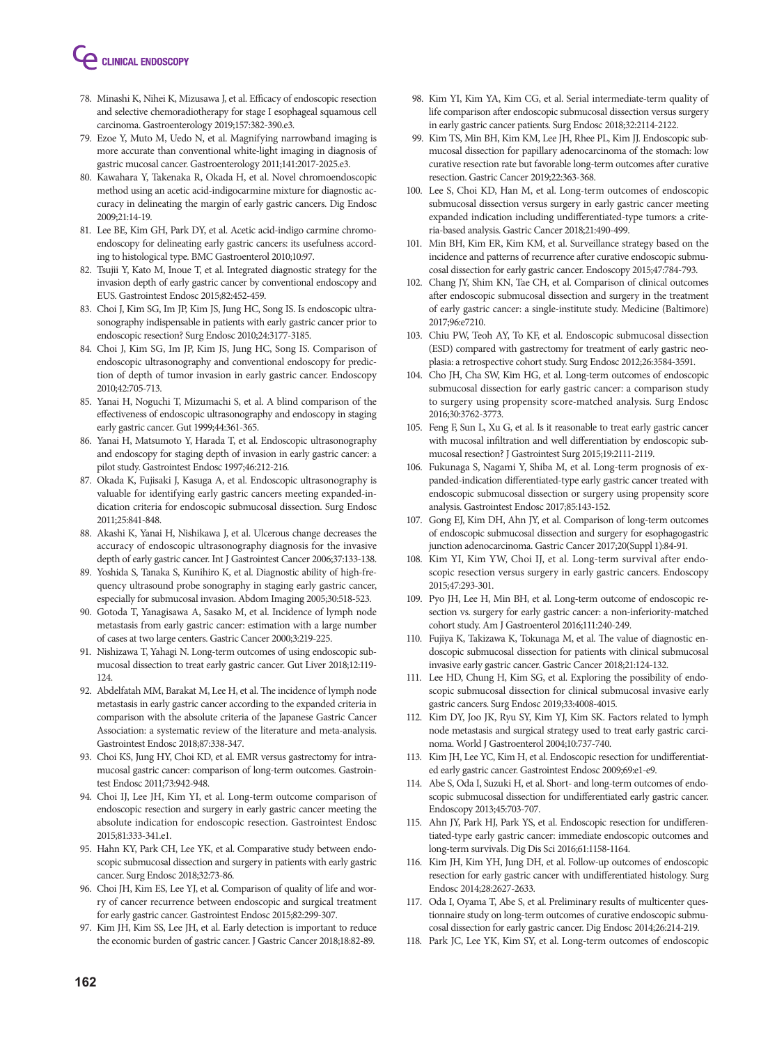# **CLINICAL ENDOSCOPY**

- 78. Minashi K, Nihei K, Mizusawa J, et al. Efficacy of endoscopic resection and selective chemoradiotherapy for stage I esophageal squamous cell carcinoma. Gastroenterology 2019;157:382-390.e3.
- 79. Ezoe Y, Muto M, Uedo N, et al. Magnifying narrowband imaging is more accurate than conventional white-light imaging in diagnosis of gastric mucosal cancer. Gastroenterology 2011;141:2017-2025.e3.
- 80. Kawahara Y, Takenaka R, Okada H, et al. Novel chromoendoscopic method using an acetic acid-indigocarmine mixture for diagnostic accuracy in delineating the margin of early gastric cancers. Dig Endosc 2009;21:14-19.
- 81. Lee BE, Kim GH, Park DY, et al. Acetic acid-indigo carmine chromoendoscopy for delineating early gastric cancers: its usefulness according to histological type. BMC Gastroenterol 2010;10:97.
- 82. Tsujii Y, Kato M, Inoue T, et al. Integrated diagnostic strategy for the invasion depth of early gastric cancer by conventional endoscopy and EUS. Gastrointest Endosc 2015;82:452-459.
- 83. Choi J, Kim SG, Im JP, Kim JS, Jung HC, Song IS. Is endoscopic ultrasonography indispensable in patients with early gastric cancer prior to endoscopic resection? Surg Endosc 2010;24:3177-3185.
- 84. Choi J, Kim SG, Im JP, Kim JS, Jung HC, Song IS. Comparison of endoscopic ultrasonography and conventional endoscopy for prediction of depth of tumor invasion in early gastric cancer. Endoscopy 2010;42:705-713.
- 85. Yanai H, Noguchi T, Mizumachi S, et al. A blind comparison of the effectiveness of endoscopic ultrasonography and endoscopy in staging early gastric cancer. Gut 1999;44:361-365.
- 86. Yanai H, Matsumoto Y, Harada T, et al. Endoscopic ultrasonography and endoscopy for staging depth of invasion in early gastric cancer: a pilot study. Gastrointest Endosc 1997;46:212-216.
- 87. Okada K, Fujisaki J, Kasuga A, et al. Endoscopic ultrasonography is valuable for identifying early gastric cancers meeting expanded-indication criteria for endoscopic submucosal dissection. Surg Endosc 2011;25:841-848.
- 88. Akashi K, Yanai H, Nishikawa J, et al. Ulcerous change decreases the accuracy of endoscopic ultrasonography diagnosis for the invasive depth of early gastric cancer. Int J Gastrointest Cancer 2006;37:133-138.
- 89. Yoshida S, Tanaka S, Kunihiro K, et al. Diagnostic ability of high-frequency ultrasound probe sonography in staging early gastric cancer, especially for submucosal invasion. Abdom Imaging 2005;30:518-523.
- 90. Gotoda T, Yanagisawa A, Sasako M, et al. Incidence of lymph node metastasis from early gastric cancer: estimation with a large number of cases at two large centers. Gastric Cancer 2000;3:219-225.
- 91. Nishizawa T, Yahagi N. Long-term outcomes of using endoscopic submucosal dissection to treat early gastric cancer. Gut Liver 2018;12:119- 124.
- 92. Abdelfatah MM, Barakat M, Lee H, et al. The incidence of lymph node metastasis in early gastric cancer according to the expanded criteria in comparison with the absolute criteria of the Japanese Gastric Cancer Association: a systematic review of the literature and meta-analysis. Gastrointest Endosc 2018;87:338-347.
- 93. Choi KS, Jung HY, Choi KD, et al. EMR versus gastrectomy for intramucosal gastric cancer: comparison of long-term outcomes. Gastrointest Endosc 2011;73:942-948.
- 94. Choi IJ, Lee JH, Kim YI, et al. Long-term outcome comparison of endoscopic resection and surgery in early gastric cancer meeting the absolute indication for endoscopic resection. Gastrointest Endosc 2015;81:333-341.e1.
- 95. Hahn KY, Park CH, Lee YK, et al. Comparative study between endoscopic submucosal dissection and surgery in patients with early gastric cancer. Surg Endosc 2018;32:73-86.
- 96. Choi JH, Kim ES, Lee YJ, et al. Comparison of quality of life and worry of cancer recurrence between endoscopic and surgical treatment for early gastric cancer. Gastrointest Endosc 2015;82:299-307.
- 97. Kim JH, Kim SS, Lee JH, et al. Early detection is important to reduce the economic burden of gastric cancer. J Gastric Cancer 2018;18:82-89.
- 98. Kim YI, Kim YA, Kim CG, et al. Serial intermediate-term quality of life comparison after endoscopic submucosal dissection versus surgery in early gastric cancer patients. Surg Endosc 2018;32:2114-2122.
- 99. Kim TS, Min BH, Kim KM, Lee JH, Rhee PL, Kim JJ. Endoscopic submucosal dissection for papillary adenocarcinoma of the stomach: low curative resection rate but favorable long-term outcomes after curative resection. Gastric Cancer 2019;22:363-368.
- 100. Lee S, Choi KD, Han M, et al. Long-term outcomes of endoscopic submucosal dissection versus surgery in early gastric cancer meeting expanded indication including undifferentiated-type tumors: a criteria-based analysis. Gastric Cancer 2018;21:490-499.
- Min BH, Kim ER, Kim KM, et al. Surveillance strategy based on the incidence and patterns of recurrence after curative endoscopic submucosal dissection for early gastric cancer. Endoscopy 2015;47:784-793.
- 102. Chang JY, Shim KN, Tae CH, et al. Comparison of clinical outcomes after endoscopic submucosal dissection and surgery in the treatment of early gastric cancer: a single-institute study. Medicine (Baltimore) 2017;96:e7210.
- 103. Chiu PW, Teoh AY, To KF, et al. Endoscopic submucosal dissection (ESD) compared with gastrectomy for treatment of early gastric neoplasia: a retrospective cohort study. Surg Endosc 2012;26:3584-3591.
- 104. Cho JH, Cha SW, Kim HG, et al. Long-term outcomes of endoscopic submucosal dissection for early gastric cancer: a comparison study to surgery using propensity score-matched analysis. Surg Endosc 2016;30:3762-3773.
- 105. Feng F, Sun L, Xu G, et al. Is it reasonable to treat early gastric cancer with mucosal infiltration and well differentiation by endoscopic submucosal resection? J Gastrointest Surg 2015;19:2111-2119.
- 106. Fukunaga S, Nagami Y, Shiba M, et al. Long-term prognosis of expanded-indication differentiated-type early gastric cancer treated with endoscopic submucosal dissection or surgery using propensity score analysis. Gastrointest Endosc 2017;85:143-152.
- 107. Gong EJ, Kim DH, Ahn JY, et al. Comparison of long-term outcomes of endoscopic submucosal dissection and surgery for esophagogastric junction adenocarcinoma. Gastric Cancer 2017;20(Suppl 1):84-91.
- 108. Kim YI, Kim YW, Choi IJ, et al. Long-term survival after endoscopic resection versus surgery in early gastric cancers. Endoscopy 2015;47:293-301.
- 109. Pyo JH, Lee H, Min BH, et al. Long-term outcome of endoscopic resection vs. surgery for early gastric cancer: a non-inferiority-matched cohort study. Am J Gastroenterol 2016;111:240-249.
- 110. Fujiya K, Takizawa K, Tokunaga M, et al. The value of diagnostic endoscopic submucosal dissection for patients with clinical submucosal invasive early gastric cancer. Gastric Cancer 2018;21:124-132.
- 111. Lee HD, Chung H, Kim SG, et al. Exploring the possibility of endoscopic submucosal dissection for clinical submucosal invasive early gastric cancers. Surg Endosc 2019;33:4008-4015.
- 112. Kim DY, Joo JK, Ryu SY, Kim YJ, Kim SK. Factors related to lymph node metastasis and surgical strategy used to treat early gastric carcinoma. World J Gastroenterol 2004;10:737-740.
- 113. Kim JH, Lee YC, Kim H, et al. Endoscopic resection for undifferentiated early gastric cancer. Gastrointest Endosc 2009;69:e1-e9.
- 114. Abe S, Oda I, Suzuki H, et al. Short- and long-term outcomes of endoscopic submucosal dissection for undifferentiated early gastric cancer. Endoscopy 2013;45:703-707.
- 115. Ahn JY, Park HJ, Park YS, et al. Endoscopic resection for undifferentiated-type early gastric cancer: immediate endoscopic outcomes and long-term survivals. Dig Dis Sci 2016;61:1158-1164.
- 116. Kim JH, Kim YH, Jung DH, et al. Follow-up outcomes of endoscopic resection for early gastric cancer with undifferentiated histology. Surg Endosc 2014;28:2627-2633.
- 117. Oda I, Oyama T, Abe S, et al. Preliminary results of multicenter questionnaire study on long-term outcomes of curative endoscopic submucosal dissection for early gastric cancer. Dig Endosc 2014;26:214-219.
- 118. Park JC, Lee YK, Kim SY, et al. Long-term outcomes of endoscopic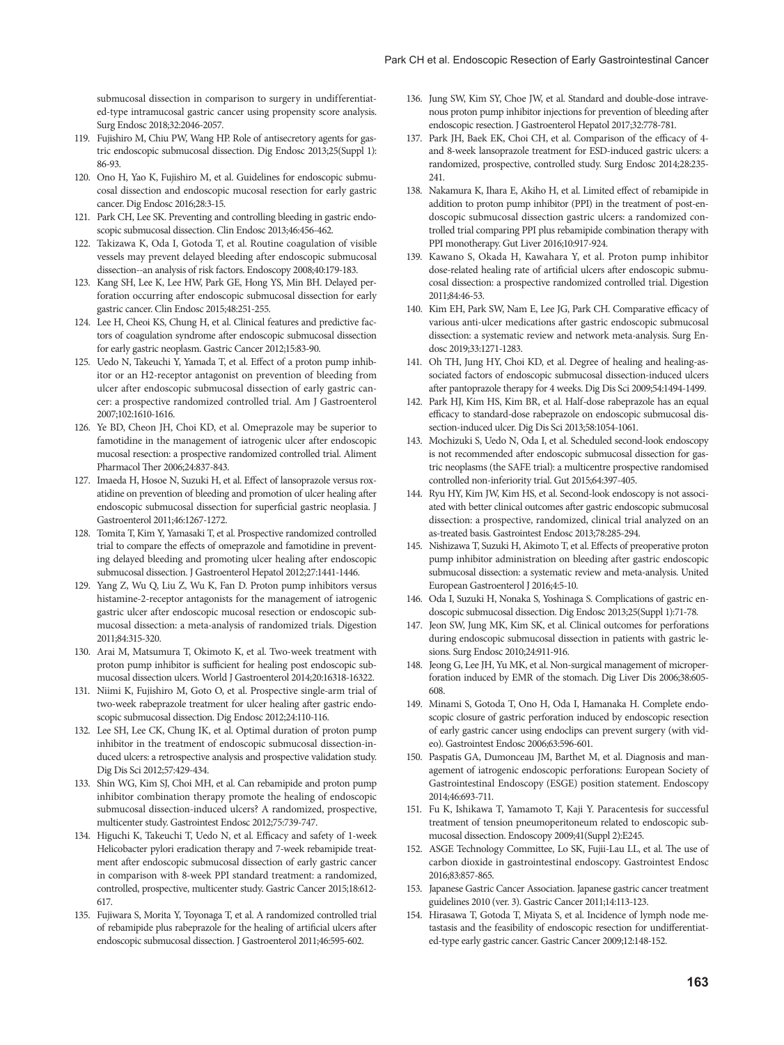submucosal dissection in comparison to surgery in undifferentiated-type intramucosal gastric cancer using propensity score analysis. Surg Endosc 2018;32:2046-2057.

- 119. Fujishiro M, Chiu PW, Wang HP. Role of antisecretory agents for gastric endoscopic submucosal dissection. Dig Endosc 2013;25(Suppl 1): 86-93.
- 120. Ono H, Yao K, Fujishiro M, et al. Guidelines for endoscopic submucosal dissection and endoscopic mucosal resection for early gastric cancer. Dig Endosc 2016;28:3-15.
- 121. Park CH, Lee SK. Preventing and controlling bleeding in gastric endoscopic submucosal dissection. Clin Endosc 2013;46:456-462.
- 122. Takizawa K, Oda I, Gotoda T, et al. Routine coagulation of visible vessels may prevent delayed bleeding after endoscopic submucosal dissection--an analysis of risk factors. Endoscopy 2008;40:179-183.
- 123. Kang SH, Lee K, Lee HW, Park GE, Hong YS, Min BH. Delayed perforation occurring after endoscopic submucosal dissection for early gastric cancer. Clin Endosc 2015;48:251-255.
- 124. Lee H, Cheoi KS, Chung H, et al. Clinical features and predictive factors of coagulation syndrome after endoscopic submucosal dissection for early gastric neoplasm. Gastric Cancer 2012;15:83-90.
- 125. Uedo N, Takeuchi Y, Yamada T, et al. Effect of a proton pump inhibitor or an H2-receptor antagonist on prevention of bleeding from ulcer after endoscopic submucosal dissection of early gastric cancer: a prospective randomized controlled trial. Am J Gastroenterol 2007;102:1610-1616.
- 126. Ye BD, Cheon JH, Choi KD, et al. Omeprazole may be superior to famotidine in the management of iatrogenic ulcer after endoscopic mucosal resection: a prospective randomized controlled trial. Aliment Pharmacol Ther 2006;24:837-843.
- 127. Imaeda H, Hosoe N, Suzuki H, et al. Effect of lansoprazole versus roxatidine on prevention of bleeding and promotion of ulcer healing after endoscopic submucosal dissection for superficial gastric neoplasia. J Gastroenterol 2011;46:1267-1272.
- 128. Tomita T, Kim Y, Yamasaki T, et al. Prospective randomized controlled trial to compare the effects of omeprazole and famotidine in preventing delayed bleeding and promoting ulcer healing after endoscopic submucosal dissection. J Gastroenterol Hepatol 2012;27:1441-1446.
- 129. Yang Z, Wu Q, Liu Z, Wu K, Fan D. Proton pump inhibitors versus histamine-2-receptor antagonists for the management of iatrogenic gastric ulcer after endoscopic mucosal resection or endoscopic submucosal dissection: a meta-analysis of randomized trials. Digestion 2011;84:315-320.
- 130. Arai M, Matsumura T, Okimoto K, et al. Two-week treatment with proton pump inhibitor is sufficient for healing post endoscopic submucosal dissection ulcers. World J Gastroenterol 2014;20:16318-16322.
- 131. Niimi K, Fujishiro M, Goto O, et al. Prospective single-arm trial of two-week rabeprazole treatment for ulcer healing after gastric endoscopic submucosal dissection. Dig Endosc 2012;24:110-116.
- 132. Lee SH, Lee CK, Chung IK, et al. Optimal duration of proton pump inhibitor in the treatment of endoscopic submucosal dissection-induced ulcers: a retrospective analysis and prospective validation study. Dig Dis Sci 2012;57:429-434.
- 133. Shin WG, Kim SJ, Choi MH, et al. Can rebamipide and proton pump inhibitor combination therapy promote the healing of endoscopic submucosal dissection-induced ulcers? A randomized, prospective, multicenter study. Gastrointest Endosc 2012;75:739-747.
- 134. Higuchi K, Takeuchi T, Uedo N, et al. Efficacy and safety of 1-week Helicobacter pylori eradication therapy and 7-week rebamipide treatment after endoscopic submucosal dissection of early gastric cancer in comparison with 8-week PPI standard treatment: a randomized, controlled, prospective, multicenter study. Gastric Cancer 2015;18:612- 617.
- 135. Fujiwara S, Morita Y, Toyonaga T, et al. A randomized controlled trial of rebamipide plus rabeprazole for the healing of artificial ulcers after endoscopic submucosal dissection. J Gastroenterol 2011;46:595-602.
- 136. Jung SW, Kim SY, Choe JW, et al. Standard and double-dose intravenous proton pump inhibitor injections for prevention of bleeding after endoscopic resection. J Gastroenterol Hepatol 2017;32:778-781.
- 137. Park JH, Baek EK, Choi CH, et al. Comparison of the efficacy of 4 and 8-week lansoprazole treatment for ESD-induced gastric ulcers: a randomized, prospective, controlled study. Surg Endosc 2014;28:235- 241.
- 138. Nakamura K, Ihara E, Akiho H, et al. Limited effect of rebamipide in addition to proton pump inhibitor (PPI) in the treatment of post-endoscopic submucosal dissection gastric ulcers: a randomized controlled trial comparing PPI plus rebamipide combination therapy with PPI monotherapy. Gut Liver 2016;10:917-924.
- 139. Kawano S, Okada H, Kawahara Y, et al. Proton pump inhibitor dose-related healing rate of artificial ulcers after endoscopic submucosal dissection: a prospective randomized controlled trial. Digestion 2011;84:46-53.
- 140. Kim EH, Park SW, Nam E, Lee JG, Park CH. Comparative efficacy of various anti-ulcer medications after gastric endoscopic submucosal dissection: a systematic review and network meta-analysis. Surg Endosc 2019;33:1271-1283.
- 141. Oh TH, Jung HY, Choi KD, et al. Degree of healing and healing-associated factors of endoscopic submucosal dissection-induced ulcers after pantoprazole therapy for 4 weeks. Dig Dis Sci 2009;54:1494-1499.
- 142. Park HJ, Kim HS, Kim BR, et al. Half-dose rabeprazole has an equal efficacy to standard-dose rabeprazole on endoscopic submucosal dissection-induced ulcer. Dig Dis Sci 2013;58:1054-1061.
- 143. Mochizuki S, Uedo N, Oda I, et al. Scheduled second-look endoscopy is not recommended after endoscopic submucosal dissection for gastric neoplasms (the SAFE trial): a multicentre prospective randomised controlled non-inferiority trial. Gut 2015;64:397-405.
- 144. Ryu HY, Kim JW, Kim HS, et al. Second-look endoscopy is not associated with better clinical outcomes after gastric endoscopic submucosal dissection: a prospective, randomized, clinical trial analyzed on an as-treated basis. Gastrointest Endosc 2013;78:285-294.
- 145. Nishizawa T, Suzuki H, Akimoto T, et al. Effects of preoperative proton pump inhibitor administration on bleeding after gastric endoscopic submucosal dissection: a systematic review and meta-analysis. United European Gastroenterol J 2016;4:5-10.
- 146. Oda I, Suzuki H, Nonaka S, Yoshinaga S. Complications of gastric endoscopic submucosal dissection. Dig Endosc 2013;25(Suppl 1):71-78.
- 147. Jeon SW, Jung MK, Kim SK, et al. Clinical outcomes for perforations during endoscopic submucosal dissection in patients with gastric lesions. Surg Endosc 2010;24:911-916.
- 148. Jeong G, Lee JH, Yu MK, et al. Non-surgical management of microperforation induced by EMR of the stomach. Dig Liver Dis 2006;38:605- 608.
- 149. Minami S, Gotoda T, Ono H, Oda I, Hamanaka H. Complete endoscopic closure of gastric perforation induced by endoscopic resection of early gastric cancer using endoclips can prevent surgery (with video). Gastrointest Endosc 2006;63:596-601.
- 150. Paspatis GA, Dumonceau JM, Barthet M, et al. Diagnosis and management of iatrogenic endoscopic perforations: European Society of Gastrointestinal Endoscopy (ESGE) position statement. Endoscopy 2014;46:693-711.
- 151. Fu K, Ishikawa T, Yamamoto T, Kaji Y. Paracentesis for successful treatment of tension pneumoperitoneum related to endoscopic submucosal dissection. Endoscopy 2009;41(Suppl 2):E245.
- 152. ASGE Technology Committee, Lo SK, Fujii-Lau LL, et al. The use of carbon dioxide in gastrointestinal endoscopy. Gastrointest Endosc 2016;83:857-865.
- 153. Japanese Gastric Cancer Association. Japanese gastric cancer treatment guidelines 2010 (ver. 3). Gastric Cancer 2011;14:113-123.
- 154. Hirasawa T, Gotoda T, Miyata S, et al. Incidence of lymph node metastasis and the feasibility of endoscopic resection for undifferentiated-type early gastric cancer. Gastric Cancer 2009;12:148-152.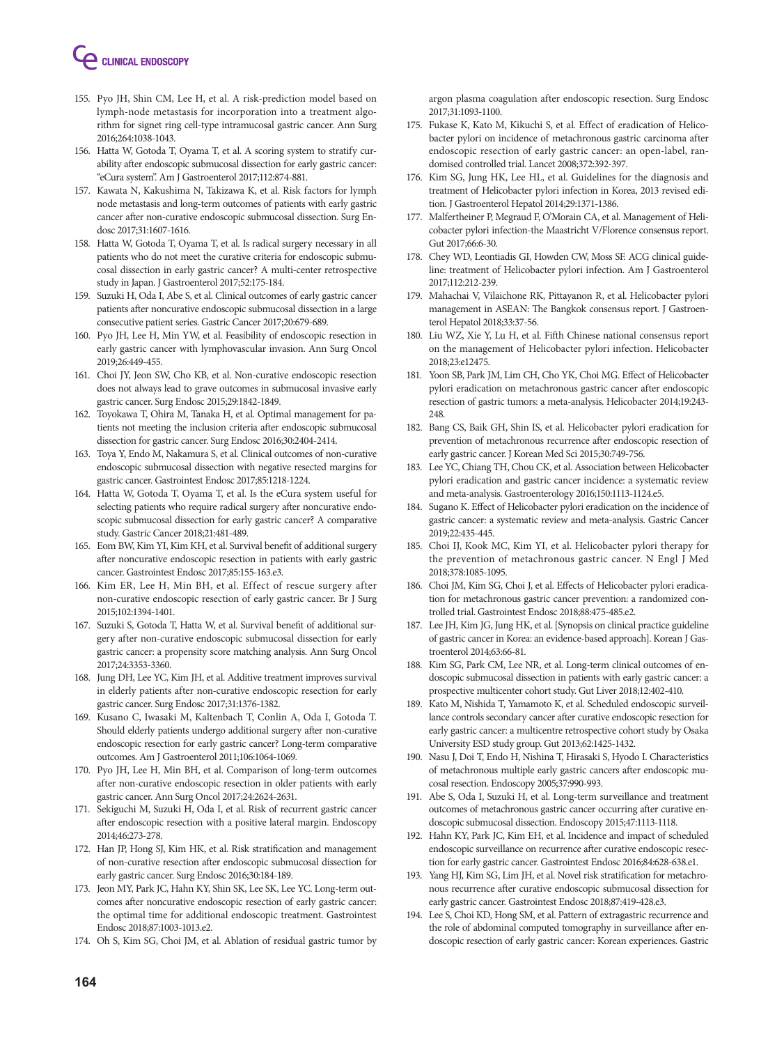

- 155. Pyo JH, Shin CM, Lee H, et al. A risk-prediction model based on lymph-node metastasis for incorporation into a treatment algorithm for signet ring cell-type intramucosal gastric cancer. Ann Surg 2016;264:1038-1043.
- 156. Hatta W, Gotoda T, Oyama T, et al. A scoring system to stratify curability after endoscopic submucosal dissection for early gastric cancer: "eCura system". Am J Gastroenterol 2017;112:874-881.
- 157. Kawata N, Kakushima N, Takizawa K, et al. Risk factors for lymph node metastasis and long-term outcomes of patients with early gastric cancer after non-curative endoscopic submucosal dissection. Surg Endosc 2017;31:1607-1616.
- 158. Hatta W, Gotoda T, Oyama T, et al. Is radical surgery necessary in all patients who do not meet the curative criteria for endoscopic submucosal dissection in early gastric cancer? A multi-center retrospective study in Japan. J Gastroenterol 2017;52:175-184.
- 159. Suzuki H, Oda I, Abe S, et al. Clinical outcomes of early gastric cancer patients after noncurative endoscopic submucosal dissection in a large consecutive patient series. Gastric Cancer 2017;20:679-689.
- 160. Pyo JH, Lee H, Min YW, et al. Feasibility of endoscopic resection in early gastric cancer with lymphovascular invasion. Ann Surg Oncol 2019;26:449-455.
- 161. Choi JY, Jeon SW, Cho KB, et al. Non-curative endoscopic resection does not always lead to grave outcomes in submucosal invasive early gastric cancer. Surg Endosc 2015;29:1842-1849.
- 162. Toyokawa T, Ohira M, Tanaka H, et al. Optimal management for patients not meeting the inclusion criteria after endoscopic submucosal dissection for gastric cancer. Surg Endosc 2016;30:2404-2414.
- 163. Toya Y, Endo M, Nakamura S, et al. Clinical outcomes of non-curative endoscopic submucosal dissection with negative resected margins for gastric cancer. Gastrointest Endosc 2017;85:1218-1224.
- 164. Hatta W, Gotoda T, Oyama T, et al. Is the eCura system useful for selecting patients who require radical surgery after noncurative endoscopic submucosal dissection for early gastric cancer? A comparative study. Gastric Cancer 2018;21:481-489.
- 165. Eom BW, Kim YI, Kim KH, et al. Survival benefit of additional surgery after noncurative endoscopic resection in patients with early gastric cancer. Gastrointest Endosc 2017;85:155-163.e3.
- 166. Kim ER, Lee H, Min BH, et al. Effect of rescue surgery after non-curative endoscopic resection of early gastric cancer. Br J Surg 2015;102:1394-1401.
- 167. Suzuki S, Gotoda T, Hatta W, et al. Survival benefit of additional surgery after non-curative endoscopic submucosal dissection for early gastric cancer: a propensity score matching analysis. Ann Surg Oncol 2017;24:3353-3360.
- 168. Jung DH, Lee YC, Kim JH, et al. Additive treatment improves survival in elderly patients after non-curative endoscopic resection for early gastric cancer. Surg Endosc 2017;31:1376-1382.
- 169. Kusano C, Iwasaki M, Kaltenbach T, Conlin A, Oda I, Gotoda T. Should elderly patients undergo additional surgery after non-curative endoscopic resection for early gastric cancer? Long-term comparative outcomes. Am J Gastroenterol 2011;106:1064-1069.
- 170. Pyo JH, Lee H, Min BH, et al. Comparison of long-term outcomes after non-curative endoscopic resection in older patients with early gastric cancer. Ann Surg Oncol 2017;24:2624-2631.
- 171. Sekiguchi M, Suzuki H, Oda I, et al. Risk of recurrent gastric cancer after endoscopic resection with a positive lateral margin. Endoscopy 2014;46:273-278.
- 172. Han JP, Hong SJ, Kim HK, et al. Risk stratification and management of non-curative resection after endoscopic submucosal dissection for early gastric cancer. Surg Endosc 2016;30:184-189.
- 173. Jeon MY, Park JC, Hahn KY, Shin SK, Lee SK, Lee YC. Long-term outcomes after noncurative endoscopic resection of early gastric cancer: the optimal time for additional endoscopic treatment. Gastrointest Endosc 2018;87:1003-1013.e2.
- 174. Oh S, Kim SG, Choi JM, et al. Ablation of residual gastric tumor by

argon plasma coagulation after endoscopic resection. Surg Endosc 2017;31:1093-1100.

- 175. Fukase K, Kato M, Kikuchi S, et al. Effect of eradication of Helicobacter pylori on incidence of metachronous gastric carcinoma after endoscopic resection of early gastric cancer: an open-label, randomised controlled trial. Lancet 2008;372:392-397.
- 176. Kim SG, Jung HK, Lee HL, et al. Guidelines for the diagnosis and treatment of Helicobacter pylori infection in Korea, 2013 revised edition. J Gastroenterol Hepatol 2014;29:1371-1386.
- 177. Malfertheiner P, Megraud F, O'Morain CA, et al. Management of Helicobacter pylori infection-the Maastricht V/Florence consensus report. Gut 2017;66:6-30.
- 178. Chey WD, Leontiadis GI, Howden CW, Moss SF. ACG clinical guideline: treatment of Helicobacter pylori infection. Am J Gastroenterol 2017;112:212-239.
- 179. Mahachai V, Vilaichone RK, Pittayanon R, et al. Helicobacter pylori management in ASEAN: The Bangkok consensus report. J Gastroenterol Hepatol 2018;33:37-56.
- 180. Liu WZ, Xie Y, Lu H, et al. Fifth Chinese national consensus report on the management of Helicobacter pylori infection. Helicobacter 2018;23:e12475.
- 181. Yoon SB, Park JM, Lim CH, Cho YK, Choi MG. Effect of Helicobacter pylori eradication on metachronous gastric cancer after endoscopic resection of gastric tumors: a meta-analysis. Helicobacter 2014;19:243- 248.
- 182. Bang CS, Baik GH, Shin IS, et al. Helicobacter pylori eradication for prevention of metachronous recurrence after endoscopic resection of early gastric cancer. J Korean Med Sci 2015;30:749-756.
- 183. Lee YC, Chiang TH, Chou CK, et al. Association between Helicobacter pylori eradication and gastric cancer incidence: a systematic review and meta-analysis. Gastroenterology 2016;150:1113-1124.e5.
- 184. Sugano K. Effect of Helicobacter pylori eradication on the incidence of gastric cancer: a systematic review and meta-analysis. Gastric Cancer 2019;22:435-445.
- 185. Choi IJ, Kook MC, Kim YI, et al. Helicobacter pylori therapy for the prevention of metachronous gastric cancer. N Engl J Med 2018;378:1085-1095.
- 186. Choi JM, Kim SG, Choi J, et al. Effects of Helicobacter pylori eradication for metachronous gastric cancer prevention: a randomized controlled trial. Gastrointest Endosc 2018;88:475-485.e2.
- 187. Lee JH, Kim JG, Jung HK, et al. [Synopsis on clinical practice guideline of gastric cancer in Korea: an evidence-based approach]. Korean J Gastroenterol 2014;63:66-81.
- 188. Kim SG, Park CM, Lee NR, et al. Long-term clinical outcomes of endoscopic submucosal dissection in patients with early gastric cancer: a prospective multicenter cohort study. Gut Liver 2018;12:402-410.
- 189. Kato M, Nishida T, Yamamoto K, et al. Scheduled endoscopic surveillance controls secondary cancer after curative endoscopic resection for early gastric cancer: a multicentre retrospective cohort study by Osaka University ESD study group. Gut 2013;62:1425-1432.
- 190. Nasu J, Doi T, Endo H, Nishina T, Hirasaki S, Hyodo I. Characteristics of metachronous multiple early gastric cancers after endoscopic mucosal resection. Endoscopy 2005;37:990-993.
- 191. Abe S, Oda I, Suzuki H, et al. Long-term surveillance and treatment outcomes of metachronous gastric cancer occurring after curative endoscopic submucosal dissection. Endoscopy 2015;47:1113-1118.
- 192. Hahn KY, Park JC, Kim EH, et al. Incidence and impact of scheduled endoscopic surveillance on recurrence after curative endoscopic resection for early gastric cancer. Gastrointest Endosc 2016;84:628-638.e1.
- 193. Yang HJ, Kim SG, Lim JH, et al. Novel risk stratification for metachronous recurrence after curative endoscopic submucosal dissection for early gastric cancer. Gastrointest Endosc 2018;87:419-428.e3.
- 194. Lee S, Choi KD, Hong SM, et al. Pattern of extragastric recurrence and the role of abdominal computed tomography in surveillance after endoscopic resection of early gastric cancer: Korean experiences. Gastric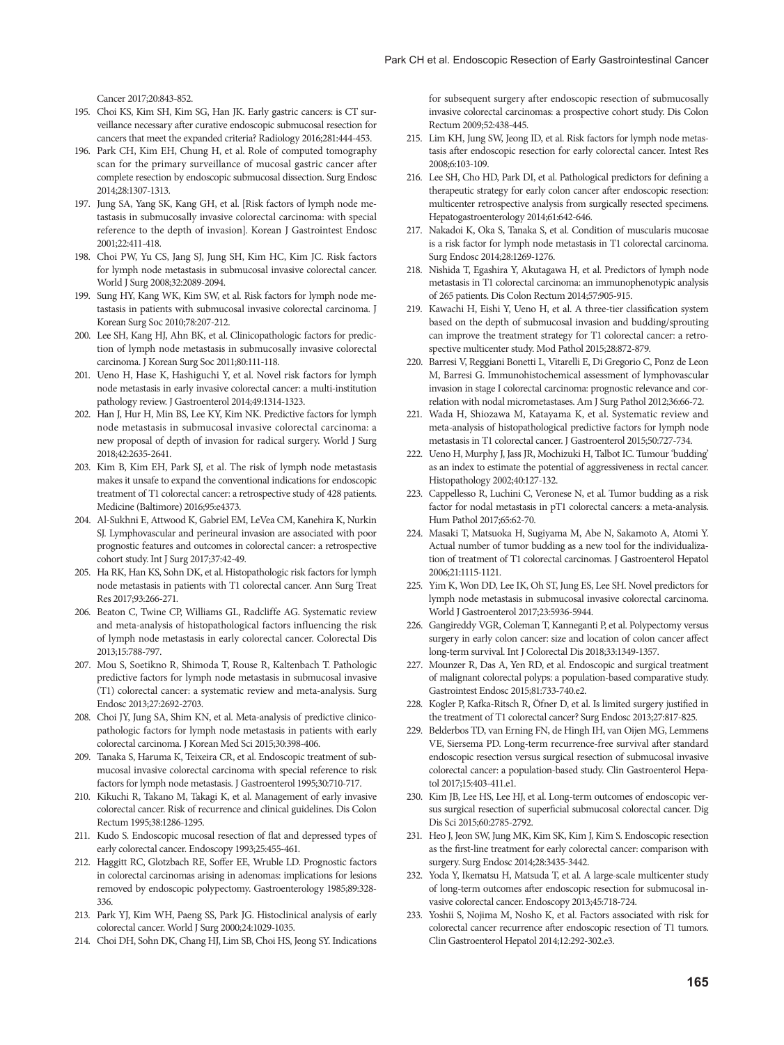Cancer 2017;20:843-852.

- 195. Choi KS, Kim SH, Kim SG, Han JK. Early gastric cancers: is CT surveillance necessary after curative endoscopic submucosal resection for cancers that meet the expanded criteria? Radiology 2016;281:444-453.
- 196. Park CH, Kim EH, Chung H, et al. Role of computed tomography scan for the primary surveillance of mucosal gastric cancer after complete resection by endoscopic submucosal dissection. Surg Endosc 2014;28:1307-1313.
- 197. Jung SA, Yang SK, Kang GH, et al. [Risk factors of lymph node metastasis in submucosally invasive colorectal carcinoma: with special reference to the depth of invasion]. Korean J Gastrointest Endosc 2001;22:411-418.
- 198. Choi PW, Yu CS, Jang SJ, Jung SH, Kim HC, Kim JC. Risk factors for lymph node metastasis in submucosal invasive colorectal cancer. World J Surg 2008;32:2089-2094.
- 199. Sung HY, Kang WK, Kim SW, et al. Risk factors for lymph node metastasis in patients with submucosal invasive colorectal carcinoma. J Korean Surg Soc 2010;78:207-212.
- 200. Lee SH, Kang HJ, Ahn BK, et al. Clinicopathologic factors for prediction of lymph node metastasis in submucosally invasive colorectal carcinoma. J Korean Surg Soc 2011;80:111-118.
- 201. Ueno H, Hase K, Hashiguchi Y, et al. Novel risk factors for lymph node metastasis in early invasive colorectal cancer: a multi-institution pathology review. J Gastroenterol 2014;49:1314-1323.
- 202. Han J, Hur H, Min BS, Lee KY, Kim NK. Predictive factors for lymph node metastasis in submucosal invasive colorectal carcinoma: a new proposal of depth of invasion for radical surgery. World J Surg 2018;42:2635-2641.
- 203. Kim B, Kim EH, Park SJ, et al. The risk of lymph node metastasis makes it unsafe to expand the conventional indications for endoscopic treatment of T1 colorectal cancer: a retrospective study of 428 patients. Medicine (Baltimore) 2016;95:e4373.
- 204. Al-Sukhni E, Attwood K, Gabriel EM, LeVea CM, Kanehira K, Nurkin SJ. Lymphovascular and perineural invasion are associated with poor prognostic features and outcomes in colorectal cancer: a retrospective cohort study. Int J Surg 2017;37:42-49.
- 205. Ha RK, Han KS, Sohn DK, et al. Histopathologic risk factors for lymph node metastasis in patients with T1 colorectal cancer. Ann Surg Treat Res 2017;93:266-271.
- 206. Beaton C, Twine CP, Williams GL, Radcliffe AG. Systematic review and meta-analysis of histopathological factors influencing the risk of lymph node metastasis in early colorectal cancer. Colorectal Dis 2013;15:788-797.
- 207. Mou S, Soetikno R, Shimoda T, Rouse R, Kaltenbach T. Pathologic predictive factors for lymph node metastasis in submucosal invasive (T1) colorectal cancer: a systematic review and meta-analysis. Surg Endosc 2013;27:2692-2703.
- 208. Choi JY, Jung SA, Shim KN, et al. Meta-analysis of predictive clinicopathologic factors for lymph node metastasis in patients with early colorectal carcinoma. J Korean Med Sci 2015;30:398-406.
- 209. Tanaka S, Haruma K, Teixeira CR, et al. Endoscopic treatment of submucosal invasive colorectal carcinoma with special reference to risk factors for lymph node metastasis. J Gastroenterol 1995;30:710-717.
- 210. Kikuchi R, Takano M, Takagi K, et al. Management of early invasive colorectal cancer. Risk of recurrence and clinical guidelines. Dis Colon Rectum 1995;38:1286-1295.
- 211. Kudo S. Endoscopic mucosal resection of flat and depressed types of early colorectal cancer. Endoscopy 1993;25:455-461.
- 212. Haggitt RC, Glotzbach RE, Soffer EE, Wruble LD. Prognostic factors in colorectal carcinomas arising in adenomas: implications for lesions removed by endoscopic polypectomy. Gastroenterology 1985;89:328- 336.
- 213. Park YJ, Kim WH, Paeng SS, Park JG. Histoclinical analysis of early colorectal cancer. World J Surg 2000;24:1029-1035.
- 214. Choi DH, Sohn DK, Chang HJ, Lim SB, Choi HS, Jeong SY. Indications

for subsequent surgery after endoscopic resection of submucosally invasive colorectal carcinomas: a prospective cohort study. Dis Colon Rectum 2009;52:438-445.

- 215. Lim KH, Jung SW, Jeong ID, et al. Risk factors for lymph node metastasis after endoscopic resection for early colorectal cancer. Intest Res 2008;6:103-109.
- 216. Lee SH, Cho HD, Park DI, et al. Pathological predictors for defining a therapeutic strategy for early colon cancer after endoscopic resection: multicenter retrospective analysis from surgically resected specimens. Hepatogastroenterology 2014;61:642-646.
- 217. Nakadoi K, Oka S, Tanaka S, et al. Condition of muscularis mucosae is a risk factor for lymph node metastasis in T1 colorectal carcinoma. Surg Endosc 2014;28:1269-1276.
- 218. Nishida T, Egashira Y, Akutagawa H, et al. Predictors of lymph node metastasis in T1 colorectal carcinoma: an immunophenotypic analysis of 265 patients. Dis Colon Rectum 2014;57:905-915.
- 219. Kawachi H, Eishi Y, Ueno H, et al. A three-tier classification system based on the depth of submucosal invasion and budding/sprouting can improve the treatment strategy for T1 colorectal cancer: a retrospective multicenter study. Mod Pathol 2015;28:872-879.
- 220. Barresi V, Reggiani Bonetti L, Vitarelli E, Di Gregorio C, Ponz de Leon M, Barresi G. Immunohistochemical assessment of lymphovascular invasion in stage I colorectal carcinoma: prognostic relevance and correlation with nodal micrometastases. Am J Surg Pathol 2012;36:66-72.
- 221. Wada H, Shiozawa M, Katayama K, et al. Systematic review and meta-analysis of histopathological predictive factors for lymph node metastasis in T1 colorectal cancer. J Gastroenterol 2015;50:727-734.
- 222. Ueno H, Murphy J, Jass JR, Mochizuki H, Talbot IC. Tumour 'budding' as an index to estimate the potential of aggressiveness in rectal cancer. Histopathology 2002;40:127-132.
- 223. Cappellesso R, Luchini C, Veronese N, et al. Tumor budding as a risk factor for nodal metastasis in pT1 colorectal cancers: a meta-analysis. Hum Pathol 2017;65:62-70.
- 224. Masaki T, Matsuoka H, Sugiyama M, Abe N, Sakamoto A, Atomi Y. Actual number of tumor budding as a new tool for the individualization of treatment of T1 colorectal carcinomas. J Gastroenterol Hepatol 2006;21:1115-1121.
- 225. Yim K, Won DD, Lee IK, Oh ST, Jung ES, Lee SH. Novel predictors for lymph node metastasis in submucosal invasive colorectal carcinoma. World J Gastroenterol 2017;23:5936-5944.
- 226. Gangireddy VGR, Coleman T, Kanneganti P, et al. Polypectomy versus surgery in early colon cancer: size and location of colon cancer affect long-term survival. Int J Colorectal Dis 2018;33:1349-1357.
- 227. Mounzer R, Das A, Yen RD, et al. Endoscopic and surgical treatment of malignant colorectal polyps: a population-based comparative study. Gastrointest Endosc 2015;81:733-740.e2.
- 228. Kogler P, Kafka-Ritsch R, Öfner D, et al. Is limited surgery justified in the treatment of T1 colorectal cancer? Surg Endosc 2013;27:817-825.
- 229. Belderbos TD, van Erning FN, de Hingh IH, van Oijen MG, Lemmens VE, Siersema PD. Long-term recurrence-free survival after standard endoscopic resection versus surgical resection of submucosal invasive colorectal cancer: a population-based study. Clin Gastroenterol Hepatol 2017;15:403-411.e1.
- 230. Kim JB, Lee HS, Lee HJ, et al. Long-term outcomes of endoscopic versus surgical resection of superficial submucosal colorectal cancer. Dig Dis Sci 2015;60:2785-2792.
- 231. Heo J, Jeon SW, Jung MK, Kim SK, Kim J, Kim S. Endoscopic resection as the first-line treatment for early colorectal cancer: comparison with surgery. Surg Endosc 2014;28:3435-3442.
- 232. Yoda Y, Ikematsu H, Matsuda T, et al. A large-scale multicenter study of long-term outcomes after endoscopic resection for submucosal invasive colorectal cancer. Endoscopy 2013;45:718-724.
- 233. Yoshii S, Nojima M, Nosho K, et al. Factors associated with risk for colorectal cancer recurrence after endoscopic resection of T1 tumors. Clin Gastroenterol Hepatol 2014;12:292-302.e3.